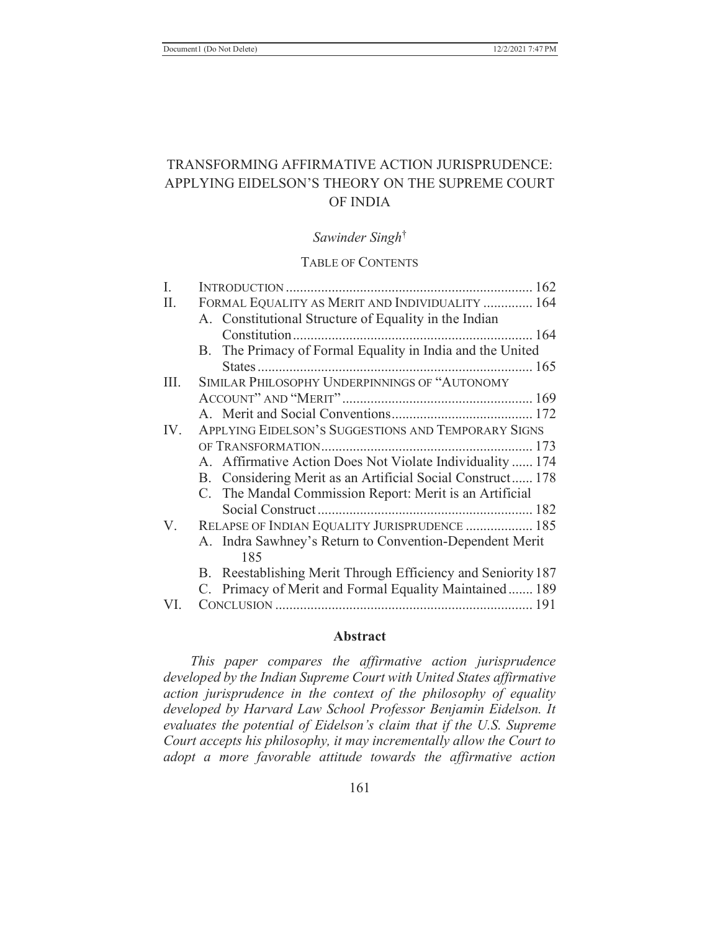# TRANSFORMING AFFIRMATIVE ACTION JURISPRUDENCE: APPLYING EIDELSON'S THEORY ON THE SUPREME COURT OF INDIA

#### *Sawinder Singh*†

#### TABLE OF CONTENTS

| I.   |                                                              |
|------|--------------------------------------------------------------|
| II.  | FORMAL EQUALITY AS MERIT AND INDIVIDUALITY  164              |
|      | A. Constitutional Structure of Equality in the Indian        |
|      |                                                              |
|      | B. The Primacy of Formal Equality in India and the United    |
|      |                                                              |
| III. | SIMILAR PHILOSOPHY UNDERPINNINGS OF "AUTONOMY                |
|      |                                                              |
|      |                                                              |
| IV.  | APPLYING EIDELSON'S SUGGESTIONS AND TEMPORARY SIGNS          |
|      |                                                              |
|      | A. Affirmative Action Does Not Violate Individuality  174    |
|      | B. Considering Merit as an Artificial Social Construct 178   |
|      | C. The Mandal Commission Report: Merit is an Artificial      |
|      |                                                              |
| V.   | RELAPSE OF INDIAN EQUALITY JURISPRUDENCE  185                |
|      | A. Indra Sawhney's Return to Convention-Dependent Merit      |
|      | 185                                                          |
|      | B. Reestablishing Merit Through Efficiency and Seniority 187 |
|      | C. Primacy of Merit and Formal Equality Maintained 189       |
| VI.  |                                                              |

#### **Abstract**

*This paper compares the affirmative action jurisprudence developed by the Indian Supreme Court with United States affirmative action jurisprudence in the context of the philosophy of equality developed by Harvard Law School Professor Benjamin Eidelson. It evaluates the potential of Eidelson's claim that if the U.S. Supreme Court accepts his philosophy, it may incrementally allow the Court to adopt a more favorable attitude towards the affirmative action*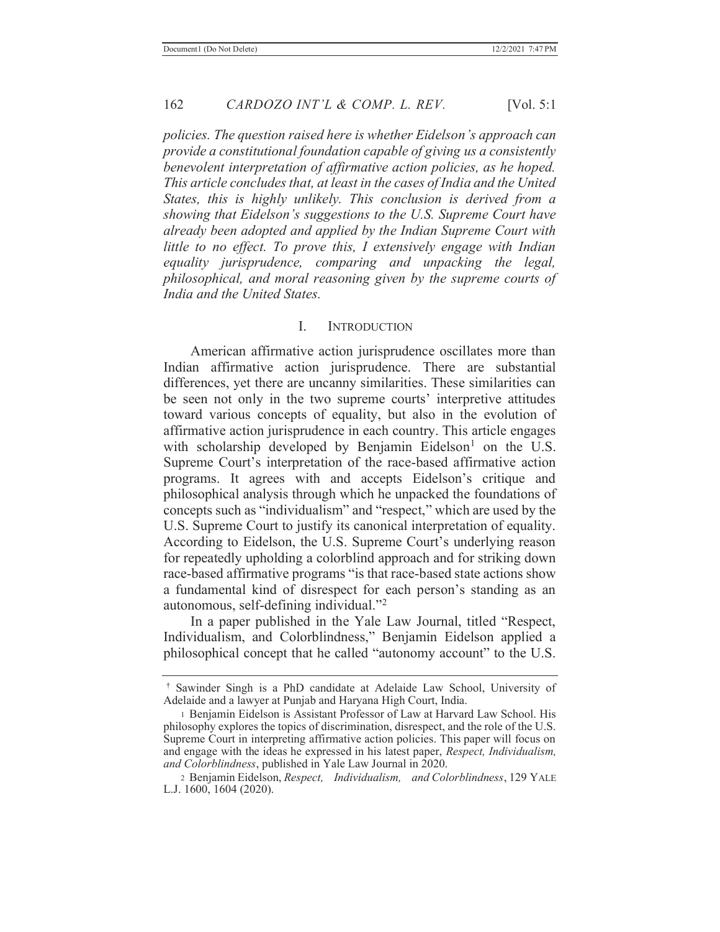*policies. The question raised here is whether Eidelson's approach can provide a constitutional foundation capable of giving us a consistently benevolent interpretation of affirmative action policies, as he hoped. This article concludes that, at least in the cases of India and the United States, this is highly unlikely. This conclusion is derived from a showing that Eidelson's suggestions to the U.S. Supreme Court have already been adopted and applied by the Indian Supreme Court with little to no effect. To prove this, I extensively engage with Indian equality jurisprudence, comparing and unpacking the legal, philosophical, and moral reasoning given by the supreme courts of India and the United States.* 

#### I. INTRODUCTION

 American affirmative action jurisprudence oscillates more than Indian affirmative action jurisprudence. There are substantial differences, yet there are uncanny similarities. These similarities can be seen not only in the two supreme courts' interpretive attitudes toward various concepts of equality, but also in the evolution of affirmative action jurisprudence in each country. This article engages with scholarship developed by Benjamin Eidelson<sup>1</sup> on the U.S. Supreme Court's interpretation of the race-based affirmative action programs. It agrees with and accepts Eidelson's critique and philosophical analysis through which he unpacked the foundations of concepts such as "individualism" and "respect," which are used by the U.S. Supreme Court to justify its canonical interpretation of equality. According to Eidelson, the U.S. Supreme Court's underlying reason for repeatedly upholding a colorblind approach and for striking down race-based affirmative programs "is that race-based state actions show a fundamental kind of disrespect for each person's standing as an autonomous, self-defining individual."<sup>2</sup>

In a paper published in the Yale Law Journal, titled "Respect, Individualism, and Colorblindness," Benjamin Eidelson applied a philosophical concept that he called "autonomy account" to the U.S.

<sup>†</sup> Sawinder Singh is a PhD candidate at Adelaide Law School, University of Adelaide and a lawyer at Punjab and Haryana High Court, India.

<sup>1</sup> Benjamin Eidelson is Assistant Professor of Law at Harvard Law School. His philosophy explores the topics of discrimination, disrespect, and the role of the U.S. Supreme Court in interpreting affirmative action policies. This paper will focus on and engage with the ideas he expressed in his latest paper, *Respect, Individualism, and Colorblindness*, published in Yale Law Journal in 2020.

<sup>2</sup> Benjamin Eidelson, *Respect, Individualism, and Colorblindness*, 129 YALE L.J. 1600, 1604 (2020).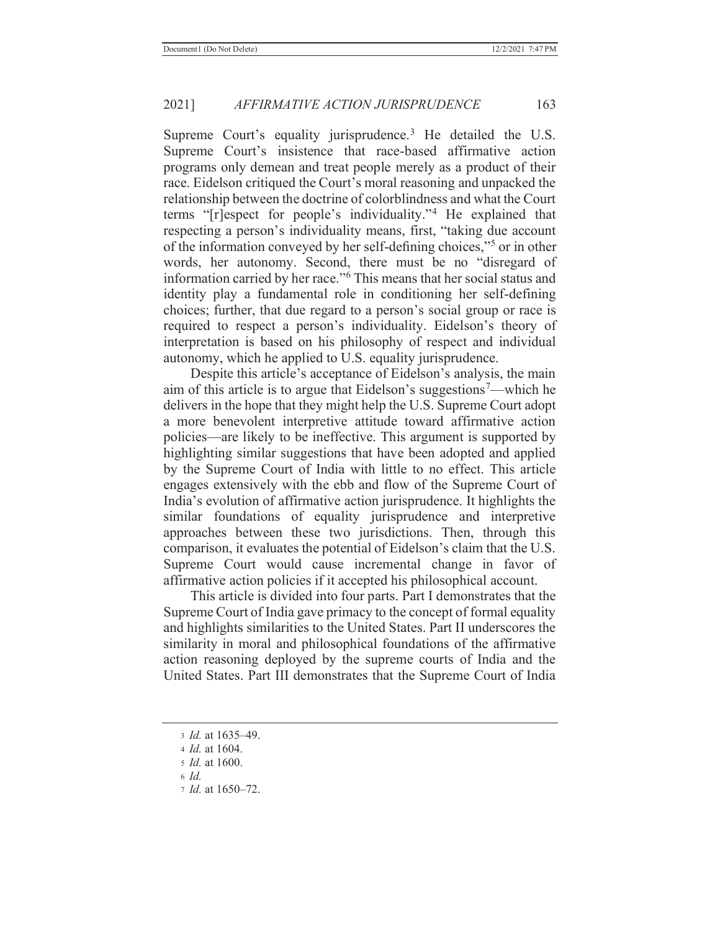Supreme Court's equality jurisprudence.<sup>3</sup> He detailed the U.S. Supreme Court's insistence that race-based affirmative action programs only demean and treat people merely as a product of their race. Eidelson critiqued the Court's moral reasoning and unpacked the relationship between the doctrine of colorblindness and what the Court terms "[r]espect for people's individuality."4 He explained that respecting a person's individuality means, first, "taking due account of the information conveyed by her self-defining choices,"5 or in other words, her autonomy. Second, there must be no "disregard of information carried by her race."6 This means that her social status and identity play a fundamental role in conditioning her self-defining choices; further, that due regard to a person's social group or race is required to respect a person's individuality. Eidelson's theory of interpretation is based on his philosophy of respect and individual autonomy, which he applied to U.S. equality jurisprudence.

Despite this article's acceptance of Eidelson's analysis, the main aim of this article is to argue that Eidelson's suggestions<sup>7</sup>—which he delivers in the hope that they might help the U.S. Supreme Court adopt a more benevolent interpretive attitude toward affirmative action policies—are likely to be ineffective. This argument is supported by highlighting similar suggestions that have been adopted and applied by the Supreme Court of India with little to no effect. This article engages extensively with the ebb and flow of the Supreme Court of India's evolution of affirmative action jurisprudence. It highlights the similar foundations of equality jurisprudence and interpretive approaches between these two jurisdictions. Then, through this comparison, it evaluates the potential of Eidelson's claim that the U.S. Supreme Court would cause incremental change in favor of affirmative action policies if it accepted his philosophical account.

 This article is divided into four parts. Part I demonstrates that the Supreme Court of India gave primacy to the concept of formal equality and highlights similarities to the United States. Part II underscores the similarity in moral and philosophical foundations of the affirmative action reasoning deployed by the supreme courts of India and the United States. Part III demonstrates that the Supreme Court of India

<sup>3</sup> *Id.* at 1635–49.

<sup>4</sup> *Id.* at 1604.

<sup>5</sup> *Id.* at 1600.

<sup>6</sup> *Id.*

<sup>7</sup> *Id.* at 1650–72.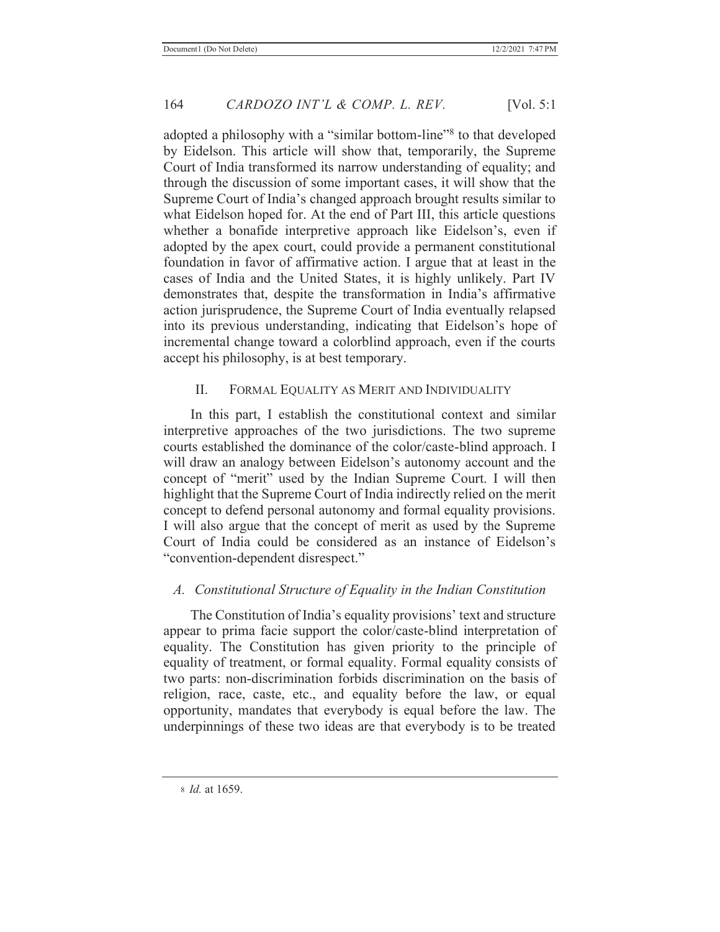adopted a philosophy with a "similar bottom-line"<sup>8</sup> to that developed by Eidelson. This article will show that, temporarily, the Supreme Court of India transformed its narrow understanding of equality; and through the discussion of some important cases, it will show that the Supreme Court of India's changed approach brought results similar to what Eidelson hoped for. At the end of Part III, this article questions whether a bonafide interpretive approach like Eidelson's, even if adopted by the apex court, could provide a permanent constitutional foundation in favor of affirmative action. I argue that at least in the cases of India and the United States, it is highly unlikely. Part IV demonstrates that, despite the transformation in India's affirmative action jurisprudence, the Supreme Court of India eventually relapsed into its previous understanding, indicating that Eidelson's hope of incremental change toward a colorblind approach, even if the courts accept his philosophy, is at best temporary.

# II. FORMAL EQUALITY AS MERIT AND INDIVIDUALITY

 In this part, I establish the constitutional context and similar interpretive approaches of the two jurisdictions. The two supreme courts established the dominance of the color/caste-blind approach. I will draw an analogy between Eidelson's autonomy account and the concept of "merit" used by the Indian Supreme Court. I will then highlight that the Supreme Court of India indirectly relied on the merit concept to defend personal autonomy and formal equality provisions. I will also argue that the concept of merit as used by the Supreme Court of India could be considered as an instance of Eidelson's "convention-dependent disrespect."

# *A. Constitutional Structure of Equality in the Indian Constitution*

The Constitution of India's equality provisions' text and structure appear to prima facie support the color/caste-blind interpretation of equality. The Constitution has given priority to the principle of equality of treatment, or formal equality. Formal equality consists of two parts: non-discrimination forbids discrimination on the basis of religion, race, caste, etc., and equality before the law, or equal opportunity, mandates that everybody is equal before the law. The underpinnings of these two ideas are that everybody is to be treated

<sup>8</sup> *Id.* at 1659.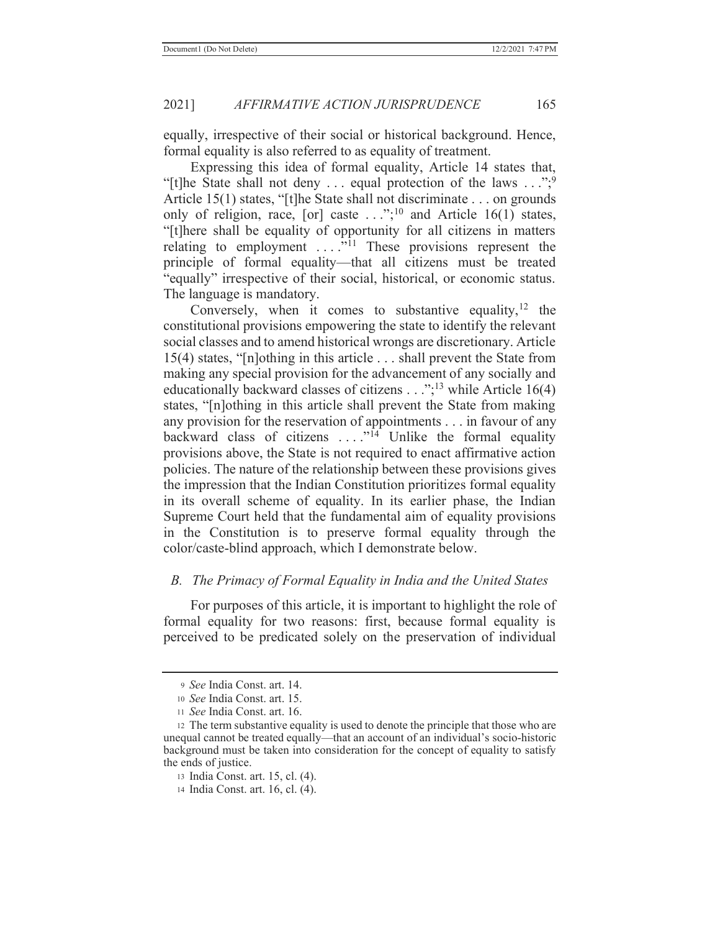equally, irrespective of their social or historical background. Hence, formal equality is also referred to as equality of treatment.

 Expressing this idea of formal equality, Article 14 states that, "[t]he State shall not deny ... equal protection of the laws  $\dots$ ";<sup>9</sup> Article 15(1) states, "[t]he State shall not discriminate . . . on grounds only of religion, race, [or] caste  $\ldots$ ";<sup>10</sup> and Article 16(1) states, "[t]here shall be equality of opportunity for all citizens in matters relating to employment ....<sup>"<sup>11</sup> These provisions represent the</sup> principle of formal equality—that all citizens must be treated "equally" irrespective of their social, historical, or economic status. The language is mandatory.

Conversely, when it comes to substantive equality,  $12$  the constitutional provisions empowering the state to identify the relevant social classes and to amend historical wrongs are discretionary. Article 15(4) states, "[n]othing in this article . . . shall prevent the State from making any special provision for the advancement of any socially and educationally backward classes of citizens  $\dots$ ;<sup>13</sup> while Article 16(4) states, "[n]othing in this article shall prevent the State from making any provision for the reservation of appointments . . . in favour of any backward class of citizens  $\dots$ <sup>14</sup> Unlike the formal equality provisions above, the State is not required to enact affirmative action policies. The nature of the relationship between these provisions gives the impression that the Indian Constitution prioritizes formal equality in its overall scheme of equality. In its earlier phase, the Indian Supreme Court held that the fundamental aim of equality provisions in the Constitution is to preserve formal equality through the color/caste-blind approach, which I demonstrate below.

# *B. The Primacy of Formal Equality in India and the United States*

 For purposes of this article, it is important to highlight the role of formal equality for two reasons: first, because formal equality is perceived to be predicated solely on the preservation of individual

<sup>9</sup> *See* India Const. art. 14.

<sup>10</sup> *See* India Const. art. 15.

<sup>11</sup> *See* India Const. art. 16.

<sup>12</sup> The term substantive equality is used to denote the principle that those who are unequal cannot be treated equally—that an account of an individual's socio-historic background must be taken into consideration for the concept of equality to satisfy the ends of justice.

<sup>13</sup> India Const. art. 15, cl. (4).

<sup>14</sup> India Const. art. 16, cl. (4).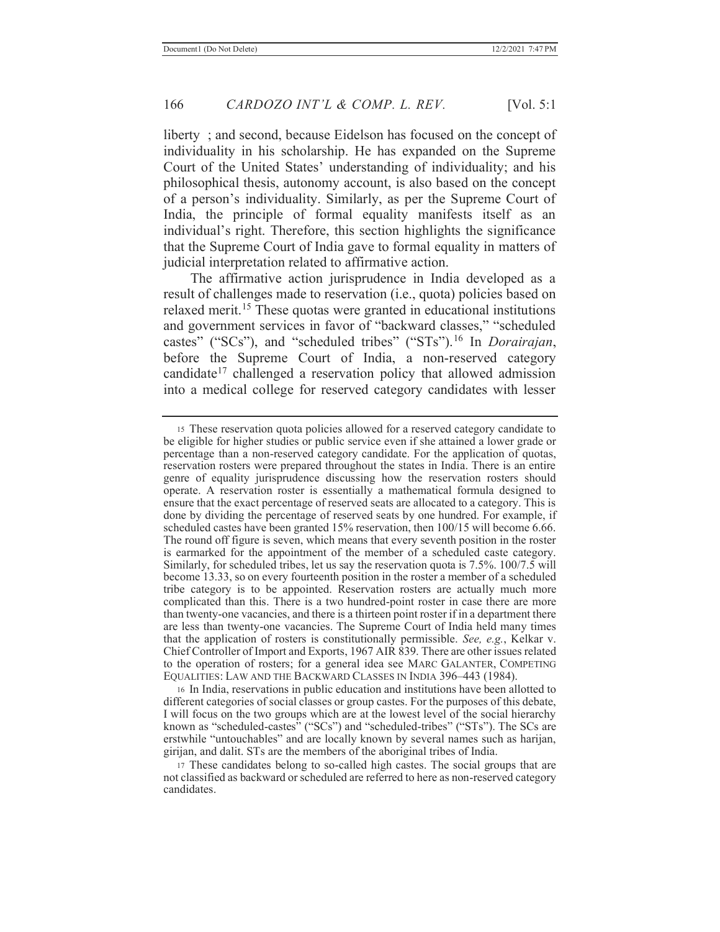liberty ; and second, because Eidelson has focused on the concept of individuality in his scholarship. He has expanded on the Supreme Court of the United States' understanding of individuality; and his philosophical thesis, autonomy account, is also based on the concept of a person's individuality. Similarly, as per the Supreme Court of India, the principle of formal equality manifests itself as an individual's right. Therefore, this section highlights the significance that the Supreme Court of India gave to formal equality in matters of judicial interpretation related to affirmative action.

 The affirmative action jurisprudence in India developed as a result of challenges made to reservation (i.e., quota) policies based on relaxed merit.<sup>15</sup> These quotas were granted in educational institutions and government services in favor of "backward classes," "scheduled castes" ("SCs"), and "scheduled tribes" ("STs").16 In *Dorairajan*, before the Supreme Court of India, a non-reserved category candidate<sup>17</sup> challenged a reservation policy that allowed admission into a medical college for reserved category candidates with lesser

16 In India, reservations in public education and institutions have been allotted to different categories of social classes or group castes. For the purposes of this debate, I will focus on the two groups which are at the lowest level of the social hierarchy known as "scheduled-castes" ("SCs") and "scheduled-tribes" ("STs"). The SCs are erstwhile "untouchables" and are locally known by several names such as harijan, girijan, and dalit. STs are the members of the aboriginal tribes of India.

17 These candidates belong to so-called high castes. The social groups that are not classified as backward or scheduled are referred to here as non-reserved category candidates.

<sup>15</sup> These reservation quota policies allowed for a reserved category candidate to be eligible for higher studies or public service even if she attained a lower grade or percentage than a non-reserved category candidate. For the application of quotas, reservation rosters were prepared throughout the states in India. There is an entire genre of equality jurisprudence discussing how the reservation rosters should operate. A reservation roster is essentially a mathematical formula designed to ensure that the exact percentage of reserved seats are allocated to a category. This is done by dividing the percentage of reserved seats by one hundred. For example, if scheduled castes have been granted 15% reservation, then 100/15 will become 6.66. The round off figure is seven, which means that every seventh position in the roster is earmarked for the appointment of the member of a scheduled caste category. Similarly, for scheduled tribes, let us say the reservation quota is 7.5%. 100/7.5 will become 13.33, so on every fourteenth position in the roster a member of a scheduled tribe category is to be appointed. Reservation rosters are actually much more complicated than this. There is a two hundred-point roster in case there are more than twenty-one vacancies, and there is a thirteen point roster if in a department there are less than twenty-one vacancies. The Supreme Court of India held many times that the application of rosters is constitutionally permissible. *See, e.g.*, Kelkar v. Chief Controller of Import and Exports, 1967 AIR 839. There are other issues related to the operation of rosters; for a general idea see MARC GALANTER, COMPETING EQUALITIES: LAW AND THE BACKWARD CLASSES IN INDIA 396–443 (1984).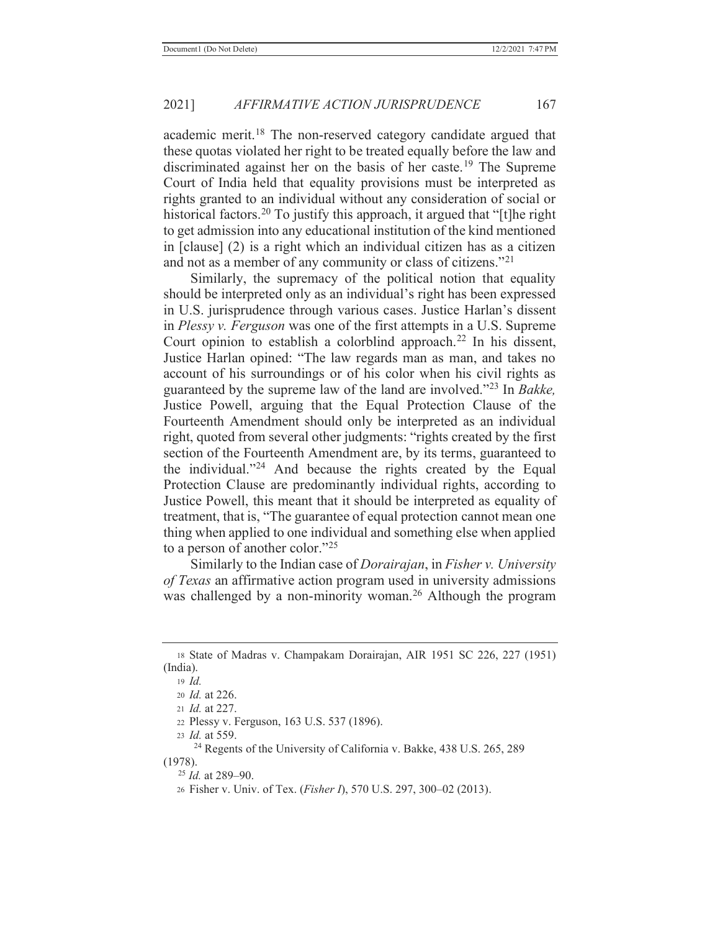academic merit.<sup>18</sup> The non-reserved category candidate argued that these quotas violated her right to be treated equally before the law and discriminated against her on the basis of her caste.<sup>19</sup> The Supreme Court of India held that equality provisions must be interpreted as rights granted to an individual without any consideration of social or historical factors.<sup>20</sup> To justify this approach, it argued that "[t] he right to get admission into any educational institution of the kind mentioned in [clause] (2) is a right which an individual citizen has as a citizen and not as a member of any community or class of citizens."<sup>21</sup>

 Similarly, the supremacy of the political notion that equality should be interpreted only as an individual's right has been expressed in U.S. jurisprudence through various cases. Justice Harlan's dissent in *Plessy v. Ferguson* was one of the first attempts in a U.S. Supreme Court opinion to establish a colorblind approach.<sup>22</sup> In his dissent, Justice Harlan opined: "The law regards man as man, and takes no account of his surroundings or of his color when his civil rights as guaranteed by the supreme law of the land are involved."23 In *Bakke,* Justice Powell, arguing that the Equal Protection Clause of the Fourteenth Amendment should only be interpreted as an individual right, quoted from several other judgments: "rights created by the first section of the Fourteenth Amendment are, by its terms, guaranteed to the individual."24 And because the rights created by the Equal Protection Clause are predominantly individual rights, according to Justice Powell, this meant that it should be interpreted as equality of treatment, that is, "The guarantee of equal protection cannot mean one thing when applied to one individual and something else when applied to a person of another color."25

 Similarly to the Indian case of *Dorairajan*, in *Fisher v. University of Texas* an affirmative action program used in university admissions was challenged by a non-minority woman.<sup>26</sup> Although the program

<sup>18</sup> State of Madras v. Champakam Dorairajan, AIR 1951 SC 226, 227 (1951) (India).

<sup>19</sup> *Id.*

<sup>20</sup> *Id.* at 226.

<sup>21</sup> *Id.* at 227.

<sup>22</sup> Plessy v. Ferguson, 163 U.S. 537 (1896).

<sup>23</sup> *Id.* at 559.

<sup>&</sup>lt;sup>24</sup> Regents of the University of California v. Bakke, 438 U.S. 265, 289 (1978).

 <sup>25</sup> *Id.* at 289–90.

<sup>26</sup> Fisher v. Univ. of Tex. (*Fisher I*), 570 U.S. 297, 300–02 (2013).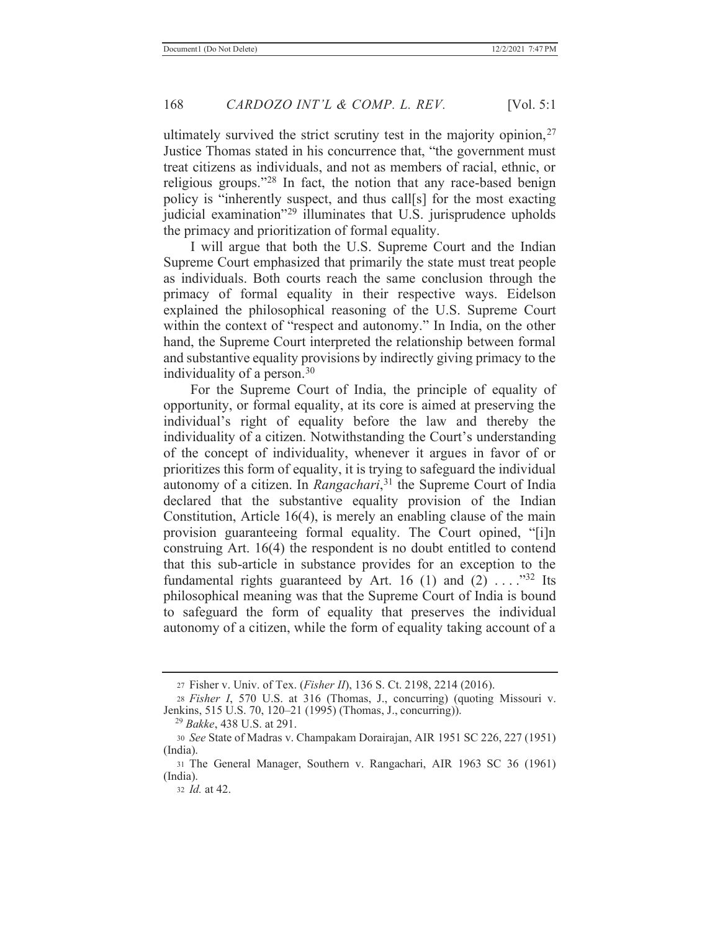ultimately survived the strict scrutiny test in the majority opinion,  $27$ Justice Thomas stated in his concurrence that, "the government must treat citizens as individuals, and not as members of racial, ethnic, or religious groups."28 In fact, the notion that any race-based benign policy is "inherently suspect, and thus call[s] for the most exacting judicial examination"29 illuminates that U.S. jurisprudence upholds the primacy and prioritization of formal equality.

 I will argue that both the U.S. Supreme Court and the Indian Supreme Court emphasized that primarily the state must treat people as individuals. Both courts reach the same conclusion through the primacy of formal equality in their respective ways. Eidelson explained the philosophical reasoning of the U.S. Supreme Court within the context of "respect and autonomy." In India, on the other hand, the Supreme Court interpreted the relationship between formal and substantive equality provisions by indirectly giving primacy to the individuality of a person.30

 For the Supreme Court of India, the principle of equality of opportunity, or formal equality, at its core is aimed at preserving the individual's right of equality before the law and thereby the individuality of a citizen. Notwithstanding the Court's understanding of the concept of individuality, whenever it argues in favor of or prioritizes this form of equality, it is trying to safeguard the individual autonomy of a citizen. In *Rangachari*, 31 the Supreme Court of India declared that the substantive equality provision of the Indian Constitution, Article 16(4), is merely an enabling clause of the main provision guaranteeing formal equality. The Court opined, "[i]n construing Art. 16(4) the respondent is no doubt entitled to contend that this sub-article in substance provides for an exception to the fundamental rights guaranteed by Art. 16 (1) and (2) . . . ."32 Its philosophical meaning was that the Supreme Court of India is bound to safeguard the form of equality that preserves the individual autonomy of a citizen, while the form of equality taking account of a

32 *Id.* at 42.

<sup>27</sup> Fisher v. Univ. of Tex. (*Fisher II*), 136 S. Ct. 2198, 2214 (2016).

<sup>28</sup> *Fisher I*, 570 U.S. at 316 (Thomas, J., concurring) (quoting Missouri v. Jenkins, 515 U.S. 70, 120–21 (1995) (Thomas, J., concurring)).

 <sup>29</sup> *Bakke*, 438 U.S. at 291.

<sup>30</sup> *See* State of Madras v. Champakam Dorairajan, AIR 1951 SC 226, 227 (1951) (India).

<sup>31</sup> The General Manager, Southern v. Rangachari, AIR 1963 SC 36 (1961) (India).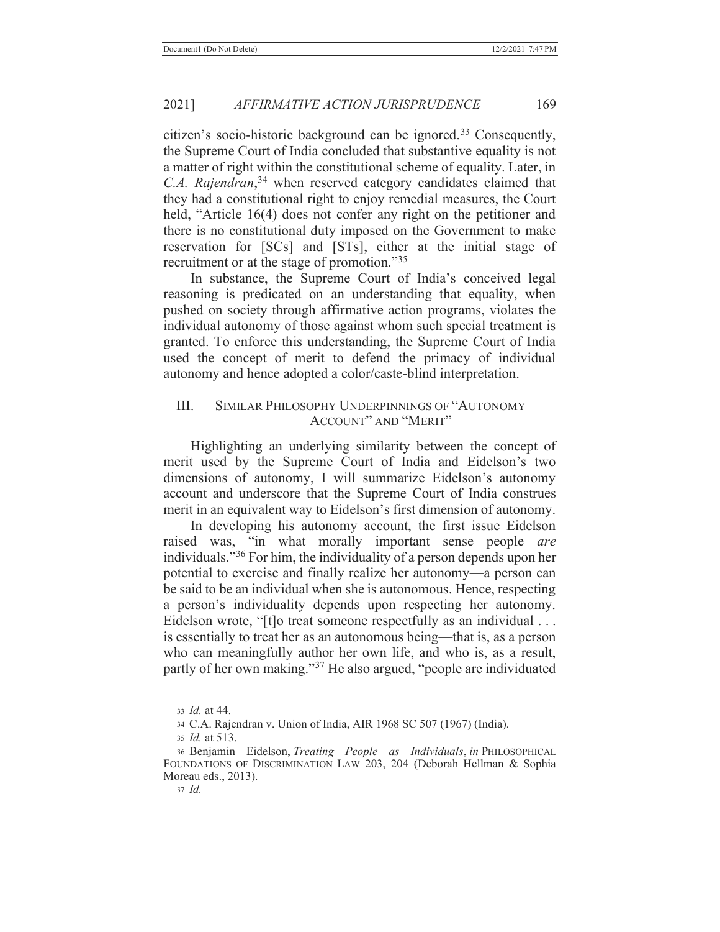citizen's socio-historic background can be ignored.33 Consequently, the Supreme Court of India concluded that substantive equality is not a matter of right within the constitutional scheme of equality. Later, in *C.A. Rajendran*, <sup>34</sup> when reserved category candidates claimed that they had a constitutional right to enjoy remedial measures, the Court held, "Article 16(4) does not confer any right on the petitioner and there is no constitutional duty imposed on the Government to make reservation for [SCs] and [STs], either at the initial stage of recruitment or at the stage of promotion."35

In substance, the Supreme Court of India's conceived legal reasoning is predicated on an understanding that equality, when pushed on society through affirmative action programs, violates the individual autonomy of those against whom such special treatment is granted. To enforce this understanding, the Supreme Court of India used the concept of merit to defend the primacy of individual autonomy and hence adopted a color/caste-blind interpretation.

### III. SIMILAR PHILOSOPHY UNDERPINNINGS OF "AUTONOMY ACCOUNT" AND "MERIT"

 Highlighting an underlying similarity between the concept of merit used by the Supreme Court of India and Eidelson's two dimensions of autonomy, I will summarize Eidelson's autonomy account and underscore that the Supreme Court of India construes merit in an equivalent way to Eidelson's first dimension of autonomy.

 In developing his autonomy account, the first issue Eidelson raised was, "in what morally important sense people *are* individuals."36 For him, the individuality of a person depends upon her potential to exercise and finally realize her autonomy—a person can be said to be an individual when she is autonomous. Hence, respecting a person's individuality depends upon respecting her autonomy. Eidelson wrote, "[t]o treat someone respectfully as an individual . . . is essentially to treat her as an autonomous being—that is, as a person who can meaningfully author her own life, and who is, as a result, partly of her own making."<sup>37</sup> He also argued, "people are individuated

<sup>33</sup> *Id.* at 44.

<sup>34</sup> C.A. Rajendran v. Union of India, AIR 1968 SC 507 (1967) (India).

<sup>35</sup> *Id.* at 513.

<sup>36</sup> Benjamin Eidelson, *Treating People as Individuals*, *in* PHILOSOPHICAL FOUNDATIONS OF DISCRIMINATION LAW 203, 204 (Deborah Hellman & Sophia Moreau eds., 2013).

<sup>37</sup> *Id.*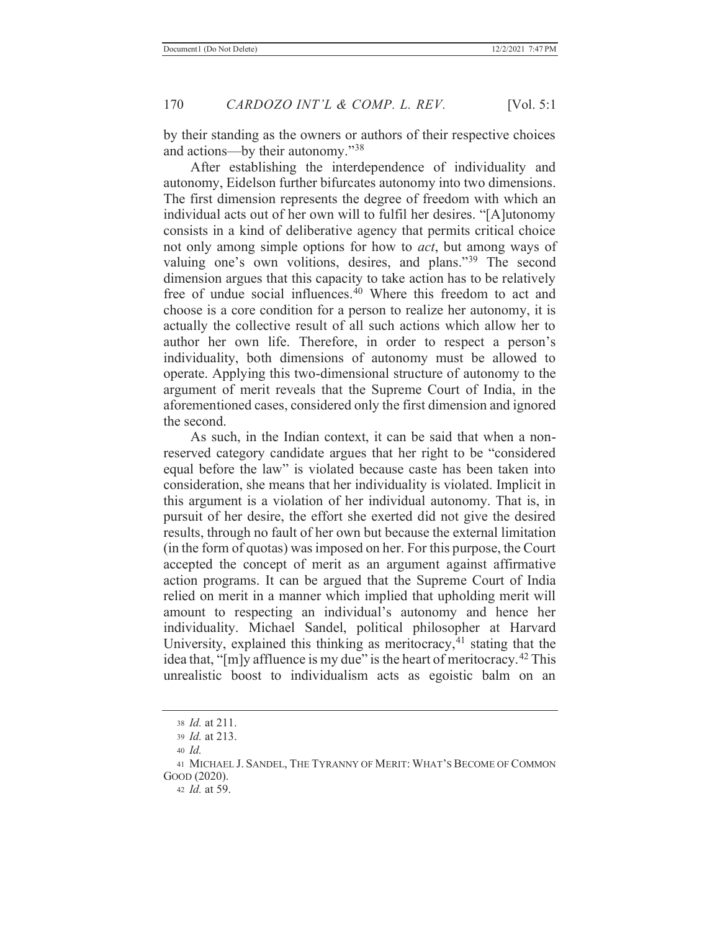by their standing as the owners or authors of their respective choices and actions—by their autonomy."<sup>38</sup>

 After establishing the interdependence of individuality and autonomy, Eidelson further bifurcates autonomy into two dimensions. The first dimension represents the degree of freedom with which an individual acts out of her own will to fulfil her desires. "[A]utonomy consists in a kind of deliberative agency that permits critical choice not only among simple options for how to *act*, but among ways of valuing one's own volitions, desires, and plans."39 The second dimension argues that this capacity to take action has to be relatively free of undue social influences. $40$  Where this freedom to act and choose is a core condition for a person to realize her autonomy, it is actually the collective result of all such actions which allow her to author her own life. Therefore, in order to respect a person's individuality, both dimensions of autonomy must be allowed to operate. Applying this two-dimensional structure of autonomy to the argument of merit reveals that the Supreme Court of India, in the aforementioned cases, considered only the first dimension and ignored the second.

 As such, in the Indian context, it can be said that when a nonreserved category candidate argues that her right to be "considered equal before the law" is violated because caste has been taken into consideration, she means that her individuality is violated. Implicit in this argument is a violation of her individual autonomy. That is, in pursuit of her desire, the effort she exerted did not give the desired results, through no fault of her own but because the external limitation (in the form of quotas) was imposed on her. For this purpose, the Court accepted the concept of merit as an argument against affirmative action programs. It can be argued that the Supreme Court of India relied on merit in a manner which implied that upholding merit will amount to respecting an individual's autonomy and hence her individuality. Michael Sandel, political philosopher at Harvard University, explained this thinking as meritocracy, $41$  stating that the idea that, "[m]y affluence is my due" is the heart of meritocracy.<sup>42</sup> This unrealistic boost to individualism acts as egoistic balm on an

<sup>38</sup> *Id.* at 211.

<sup>39</sup> *Id.* at 213.

<sup>40</sup> *Id.*

<sup>41</sup> MICHAEL J. SANDEL, THE TYRANNY OF MERIT: WHAT'S BECOME OF COMMON GOOD (2020).

<sup>42</sup> *Id.* at 59.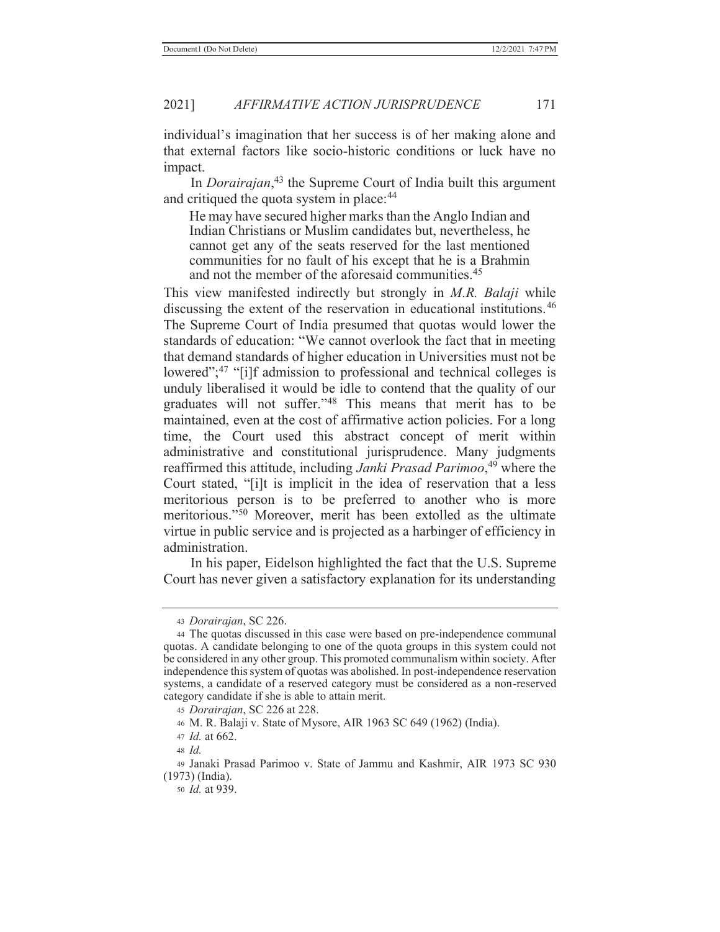individual's imagination that her success is of her making alone and that external factors like socio-historic conditions or luck have no impact.

 In *Dorairajan*, 43 the Supreme Court of India built this argument and critiqued the quota system in place:<sup>44</sup>

He may have secured higher marks than the Anglo Indian and Indian Christians or Muslim candidates but, nevertheless, he cannot get any of the seats reserved for the last mentioned communities for no fault of his except that he is a Brahmin and not the member of the aforesaid communities.<sup>45</sup>

This view manifested indirectly but strongly in *M.R. Balaji* while discussing the extent of the reservation in educational institutions.46 The Supreme Court of India presumed that quotas would lower the standards of education: "We cannot overlook the fact that in meeting that demand standards of higher education in Universities must not be lowered";<sup>47</sup> "[i]f admission to professional and technical colleges is unduly liberalised it would be idle to contend that the quality of our graduates will not suffer."48 This means that merit has to be maintained, even at the cost of affirmative action policies. For a long time, the Court used this abstract concept of merit within administrative and constitutional jurisprudence. Many judgments reaffirmed this attitude, including *Janki Prasad Parimoo*, 49 where the Court stated, "[i]t is implicit in the idea of reservation that a less meritorious person is to be preferred to another who is more meritorious."50 Moreover, merit has been extolled as the ultimate virtue in public service and is projected as a harbinger of efficiency in administration.

 In his paper, Eidelson highlighted the fact that the U.S. Supreme Court has never given a satisfactory explanation for its understanding

50 *Id.* at 939.

<sup>43</sup> *Dorairajan*, SC 226.

<sup>44</sup> The quotas discussed in this case were based on pre-independence communal quotas. A candidate belonging to one of the quota groups in this system could not be considered in any other group. This promoted communalism within society. After independence this system of quotas was abolished. In post-independence reservation systems, a candidate of a reserved category must be considered as a non-reserved category candidate if she is able to attain merit.

<sup>45</sup> *Dorairajan*, SC 226 at 228.

<sup>46</sup> M. R. Balaji v. State of Mysore, AIR 1963 SC 649 (1962) (India).

<sup>47</sup> *Id.* at 662.

<sup>48</sup> *Id.*

<sup>49</sup> Janaki Prasad Parimoo v. State of Jammu and Kashmir, AIR 1973 SC 930 (1973) (India).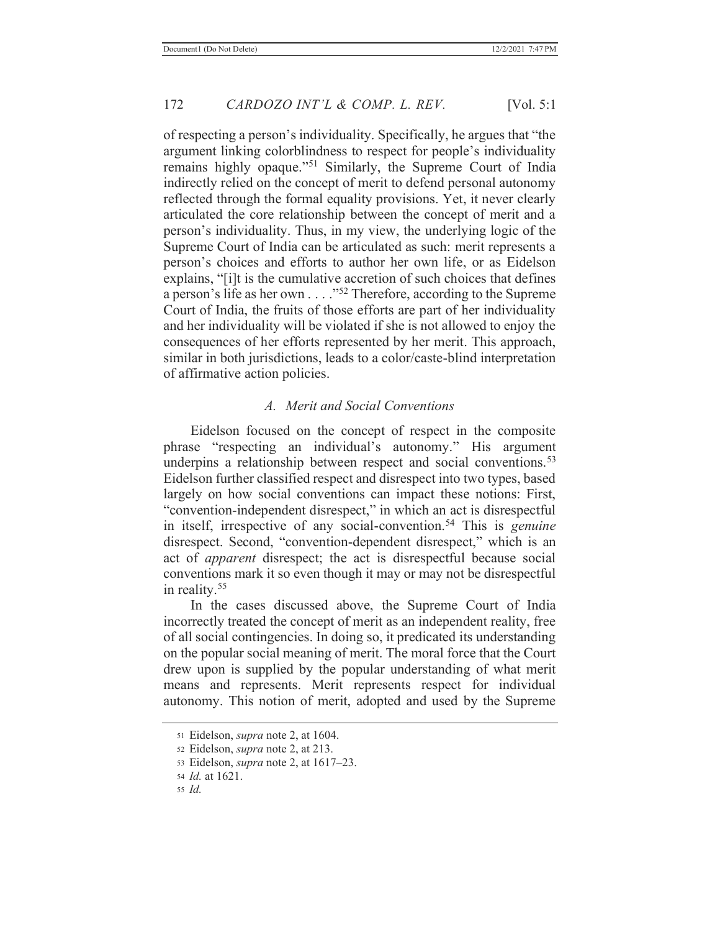of respecting a person's individuality. Specifically, he argues that "the argument linking colorblindness to respect for people's individuality remains highly opaque."<sup>51</sup> Similarly, the Supreme Court of India indirectly relied on the concept of merit to defend personal autonomy reflected through the formal equality provisions. Yet, it never clearly articulated the core relationship between the concept of merit and a person's individuality. Thus, in my view, the underlying logic of the Supreme Court of India can be articulated as such: merit represents a person's choices and efforts to author her own life, or as Eidelson explains, "[i]t is the cumulative accretion of such choices that defines a person's life as her own . . . ."52 Therefore, according to the Supreme Court of India, the fruits of those efforts are part of her individuality and her individuality will be violated if she is not allowed to enjoy the consequences of her efforts represented by her merit. This approach, similar in both jurisdictions, leads to a color/caste-blind interpretation of affirmative action policies.

#### *A. Merit and Social Conventions*

 Eidelson focused on the concept of respect in the composite phrase "respecting an individual's autonomy." His argument underpins a relationship between respect and social conventions.<sup>53</sup> Eidelson further classified respect and disrespect into two types, based largely on how social conventions can impact these notions: First, "convention-independent disrespect," in which an act is disrespectful in itself, irrespective of any social-convention.54 This is *genuine*  disrespect. Second, "convention-dependent disrespect," which is an act of *apparent* disrespect; the act is disrespectful because social conventions mark it so even though it may or may not be disrespectful in reality.55

 In the cases discussed above, the Supreme Court of India incorrectly treated the concept of merit as an independent reality, free of all social contingencies. In doing so, it predicated its understanding on the popular social meaning of merit. The moral force that the Court drew upon is supplied by the popular understanding of what merit means and represents. Merit represents respect for individual autonomy. This notion of merit, adopted and used by the Supreme

<sup>51</sup> Eidelson, *supra* note 2, at 1604.

<sup>52</sup> Eidelson, *supra* note 2, at 213.

<sup>53</sup> Eidelson, *supra* note 2, at 1617–23.

<sup>54</sup> *Id.* at 1621.

<sup>55</sup> *Id.*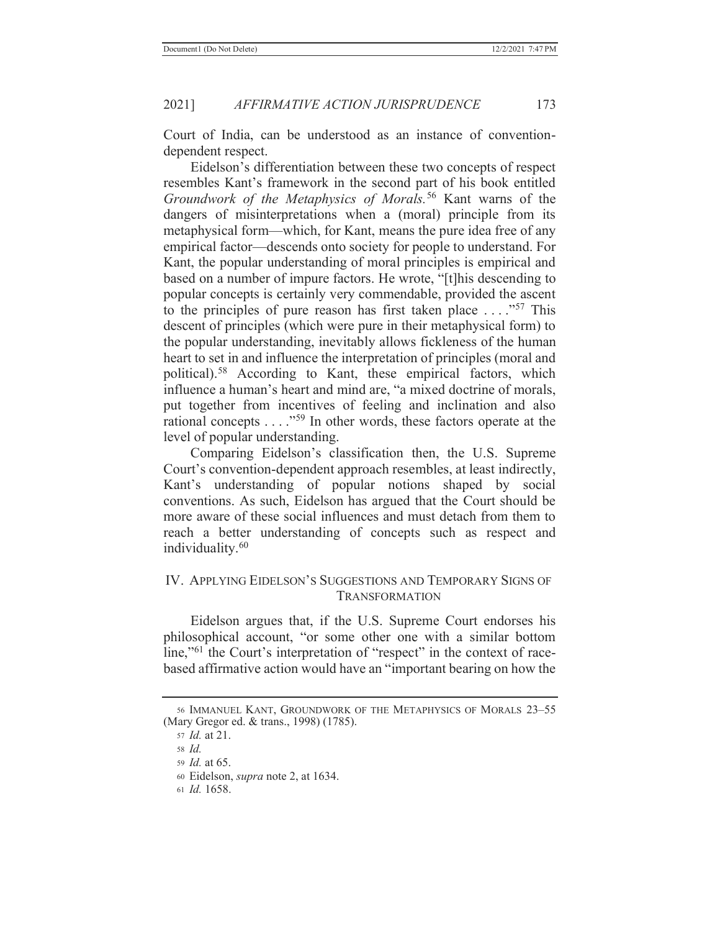Court of India, can be understood as an instance of conventiondependent respect.

Eidelson's differentiation between these two concepts of respect resembles Kant's framework in the second part of his book entitled *Groundwork of the Metaphysics of Morals.*56 Kant warns of the dangers of misinterpretations when a (moral) principle from its metaphysical form—which, for Kant, means the pure idea free of any empirical factor—descends onto society for people to understand. For Kant, the popular understanding of moral principles is empirical and based on a number of impure factors. He wrote, "[t]his descending to popular concepts is certainly very commendable, provided the ascent to the principles of pure reason has first taken place  $\dots$ ."<sup>57</sup> This descent of principles (which were pure in their metaphysical form) to the popular understanding, inevitably allows fickleness of the human heart to set in and influence the interpretation of principles (moral and political).58 According to Kant, these empirical factors, which influence a human's heart and mind are, "a mixed doctrine of morals, put together from incentives of feeling and inclination and also rational concepts . . . ."59 In other words, these factors operate at the level of popular understanding.

Comparing Eidelson's classification then, the U.S. Supreme Court's convention-dependent approach resembles, at least indirectly, Kant's understanding of popular notions shaped by social conventions. As such, Eidelson has argued that the Court should be more aware of these social influences and must detach from them to reach a better understanding of concepts such as respect and individuality.<sup>60</sup>

### IV. APPLYING EIDELSON'S SUGGESTIONS AND TEMPORARY SIGNS OF TRANSFORMATION

 Eidelson argues that, if the U.S. Supreme Court endorses his philosophical account, "or some other one with a similar bottom line,"<sup>61</sup> the Court's interpretation of "respect" in the context of racebased affirmative action would have an "important bearing on how the

61 *Id.* 1658.

<sup>56</sup> IMMANUEL KANT, GROUNDWORK OF THE METAPHYSICS OF MORALS 23–55 (Mary Gregor ed. & trans., 1998) (1785).

<sup>57</sup> *Id.* at 21.

<sup>58</sup> *Id.*

<sup>59</sup> *Id.* at 65.

<sup>60</sup> Eidelson, *supra* note 2, at 1634.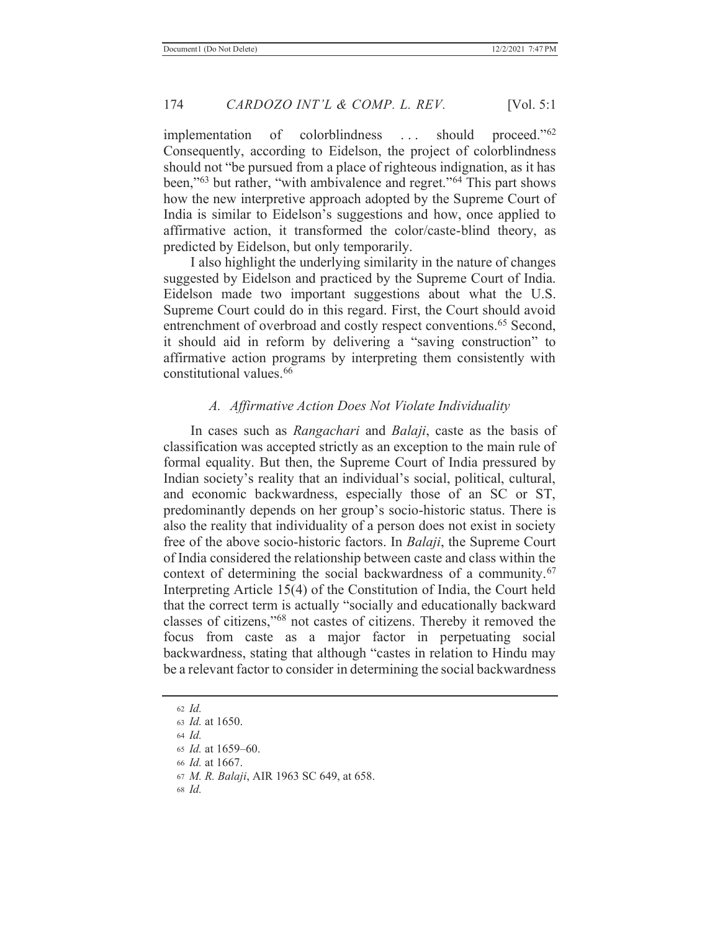implementation of colorblindness ... should proceed."<sup>62</sup> Consequently, according to Eidelson, the project of colorblindness should not "be pursued from a place of righteous indignation, as it has been,"<sup>63</sup> but rather, "with ambivalence and regret."64 This part shows how the new interpretive approach adopted by the Supreme Court of India is similar to Eidelson's suggestions and how, once applied to affirmative action, it transformed the color/caste-blind theory, as predicted by Eidelson, but only temporarily.

 I also highlight the underlying similarity in the nature of changes suggested by Eidelson and practiced by the Supreme Court of India. Eidelson made two important suggestions about what the U.S. Supreme Court could do in this regard. First, the Court should avoid entrenchment of overbroad and costly respect conventions.<sup>65</sup> Second, it should aid in reform by delivering a "saving construction" to affirmative action programs by interpreting them consistently with constitutional values.66

# *A. Affirmative Action Does Not Violate Individuality*

 In cases such as *Rangachari* and *Balaji*, caste as the basis of classification was accepted strictly as an exception to the main rule of formal equality. But then, the Supreme Court of India pressured by Indian society's reality that an individual's social, political, cultural, and economic backwardness, especially those of an SC or ST, predominantly depends on her group's socio-historic status. There is also the reality that individuality of a person does not exist in society free of the above socio-historic factors. In *Balaji*, the Supreme Court of India considered the relationship between caste and class within the context of determining the social backwardness of a community.67 Interpreting Article 15(4) of the Constitution of India, the Court held that the correct term is actually "socially and educationally backward classes of citizens,"68 not castes of citizens. Thereby it removed the focus from caste as a major factor in perpetuating social backwardness, stating that although "castes in relation to Hindu may be a relevant factor to consider in determining the social backwardness

<sup>62</sup> *Id.* <sup>63</sup> *Id.* at 1650. <sup>64</sup> *Id.* <sup>65</sup> *Id.* at 1659–60. <sup>66</sup> *Id.* at 1667. <sup>67</sup> *M. R. Balaji*, AIR 1963 SC 649, at 658. 68 *Id.*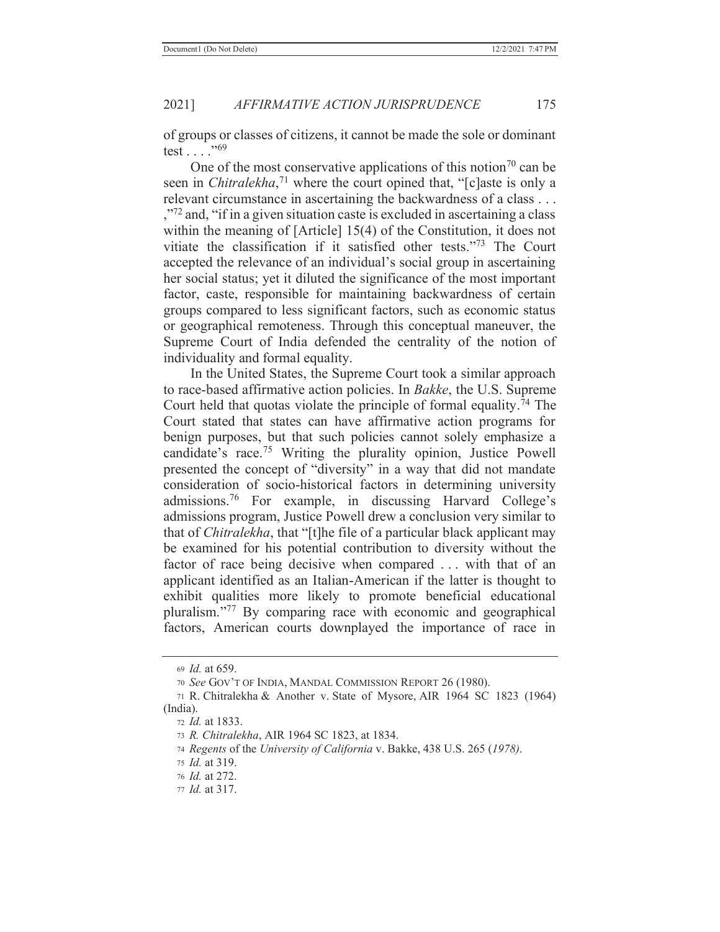of groups or classes of citizens, it cannot be made the sole or dominant test . . . ."<sup>69</sup>

One of the most conservative applications of this notion<sup>70</sup> can be seen in *Chitralekha*, <sup>71</sup> where the court opined that, "[c]aste is only a relevant circumstance in ascertaining the backwardness of a class . . . <sup>772</sup> and, "if in a given situation caste is excluded in ascertaining a class within the meaning of [Article] 15(4) of the Constitution, it does not vitiate the classification if it satisfied other tests."73 The Court accepted the relevance of an individual's social group in ascertaining her social status; yet it diluted the significance of the most important factor, caste, responsible for maintaining backwardness of certain groups compared to less significant factors, such as economic status or geographical remoteness. Through this conceptual maneuver, the Supreme Court of India defended the centrality of the notion of individuality and formal equality.

 In the United States, the Supreme Court took a similar approach to race-based affirmative action policies. In *Bakke*, the U.S. Supreme Court held that quotas violate the principle of formal equality. 74 The Court stated that states can have affirmative action programs for benign purposes, but that such policies cannot solely emphasize a candidate's race.75 Writing the plurality opinion, Justice Powell presented the concept of "diversity" in a way that did not mandate consideration of socio-historical factors in determining university admissions.76 For example, in discussing Harvard College's admissions program, Justice Powell drew a conclusion very similar to that of *Chitralekha*, that "[t]he file of a particular black applicant may be examined for his potential contribution to diversity without the factor of race being decisive when compared ... with that of an applicant identified as an Italian-American if the latter is thought to exhibit qualities more likely to promote beneficial educational pluralism."77 By comparing race with economic and geographical factors, American courts downplayed the importance of race in

<sup>69</sup> *Id.* at 659.

<sup>70</sup> *See* GOV'T OF INDIA, MANDAL COMMISSION REPORT 26 (1980).

<sup>71</sup> R. Chitralekha & Another v. State of Mysore, AIR 1964 SC 1823 (1964) (India).

<sup>72</sup> *Id.* at 1833.

<sup>73</sup> *R. Chitralekha*, AIR 1964 SC 1823, at 1834.

<sup>74</sup> *Regents* of the *University of California* v. Bakke, 438 U.S. 265 (*1978)*.

<sup>75</sup> *Id.* at 319.

<sup>76</sup> *Id.* at 272.

<sup>77</sup> *Id.* at 317.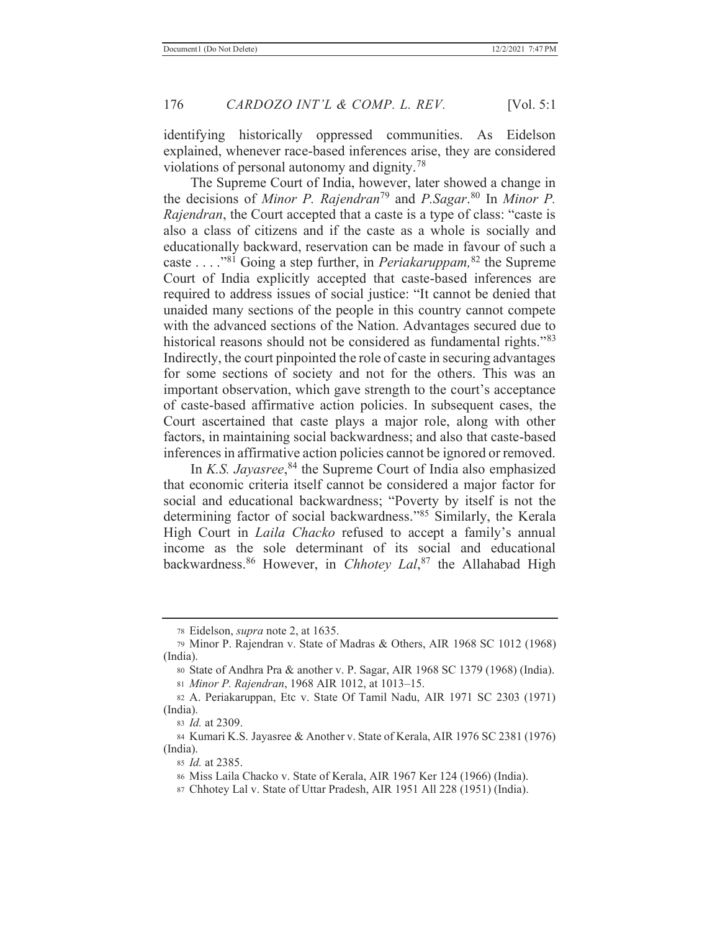identifying historically oppressed communities. As Eidelson explained, whenever race-based inferences arise, they are considered violations of personal autonomy and dignity.78

 The Supreme Court of India, however, later showed a change in the decisions of *Minor P. Rajendran*79 and *P.Sagar*. 80 In *Minor P. Rajendran*, the Court accepted that a caste is a type of class: "caste is also a class of citizens and if the caste as a whole is socially and educationally backward, reservation can be made in favour of such a caste . . . ."81 Going a step further, in *Periakaruppam,*<sup>82</sup> the Supreme Court of India explicitly accepted that caste-based inferences are required to address issues of social justice: "It cannot be denied that unaided many sections of the people in this country cannot compete with the advanced sections of the Nation. Advantages secured due to historical reasons should not be considered as fundamental rights."<sup>83</sup> Indirectly, the court pinpointed the role of caste in securing advantages for some sections of society and not for the others. This was an important observation, which gave strength to the court's acceptance of caste-based affirmative action policies. In subsequent cases, the Court ascertained that caste plays a major role, along with other factors, in maintaining social backwardness; and also that caste-based inferences in affirmative action policies cannot be ignored or removed.

 In *K.S. Jayasree*, 84 the Supreme Court of India also emphasized that economic criteria itself cannot be considered a major factor for social and educational backwardness; "Poverty by itself is not the determining factor of social backwardness."85 Similarly, the Kerala High Court in *Laila Chacko* refused to accept a family's annual income as the sole determinant of its social and educational backwardness.86 However, in *Chhotey Lal*, 87 the Allahabad High

<sup>81</sup> *Minor P. Rajendran*, 1968 AIR 1012, at 1013–15.

<sup>78</sup> Eidelson, *supra* note 2, at 1635.

<sup>79</sup> Minor P. Rajendran v. State of Madras & Others, AIR 1968 SC 1012 (1968) (India).

<sup>80</sup> State of Andhra Pra & another v. P. Sagar, AIR 1968 SC 1379 (1968) (India).

<sup>82</sup> A. Periakaruppan, Etc v. State Of Tamil Nadu, AIR 1971 SC 2303 (1971) (India).

<sup>83</sup> *Id.* at 2309.

<sup>84</sup> Kumari K.S. Jayasree & Another v. State of Kerala, AIR 1976 SC 2381 (1976) (India).

<sup>85</sup> *Id.* at 2385.

<sup>86</sup> Miss Laila Chacko v. State of Kerala, AIR 1967 Ker 124 (1966) (India).

<sup>87</sup> Chhotey Lal v. State of Uttar Pradesh, AIR 1951 All 228 (1951) (India).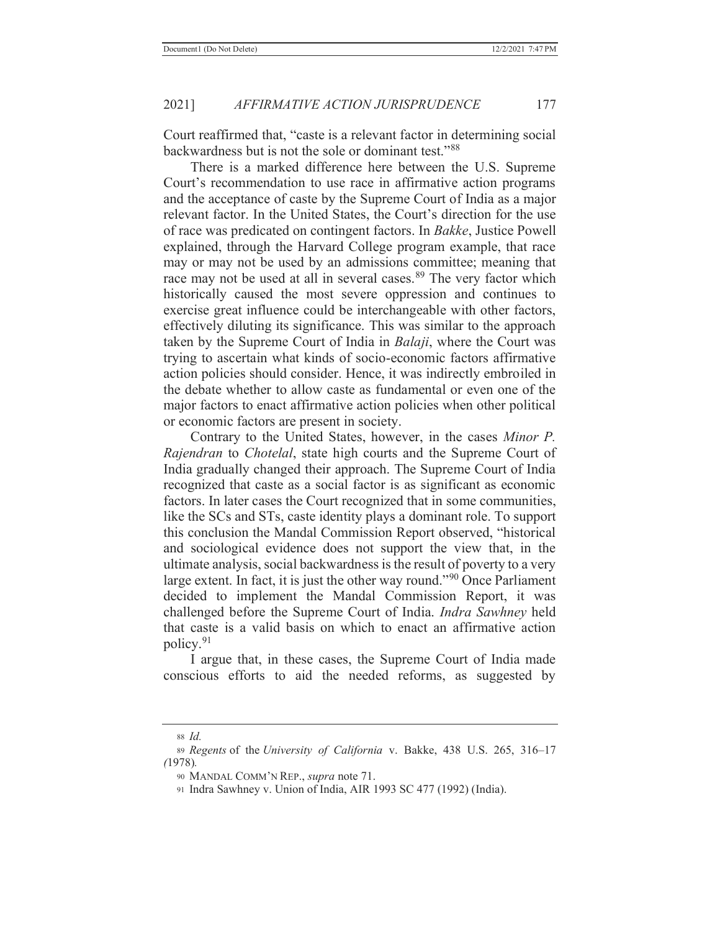Court reaffirmed that, "caste is a relevant factor in determining social backwardness but is not the sole or dominant test."<sup>88</sup>

 There is a marked difference here between the U.S. Supreme Court's recommendation to use race in affirmative action programs and the acceptance of caste by the Supreme Court of India as a major relevant factor. In the United States, the Court's direction for the use of race was predicated on contingent factors. In *Bakke*, Justice Powell explained, through the Harvard College program example, that race may or may not be used by an admissions committee; meaning that race may not be used at all in several cases.<sup>89</sup> The very factor which historically caused the most severe oppression and continues to exercise great influence could be interchangeable with other factors, effectively diluting its significance. This was similar to the approach taken by the Supreme Court of India in *Balaji*, where the Court was trying to ascertain what kinds of socio-economic factors affirmative action policies should consider. Hence, it was indirectly embroiled in the debate whether to allow caste as fundamental or even one of the major factors to enact affirmative action policies when other political or economic factors are present in society.

 Contrary to the United States, however, in the cases *Minor P. Rajendran* to *Chotelal*, state high courts and the Supreme Court of India gradually changed their approach. The Supreme Court of India recognized that caste as a social factor is as significant as economic factors. In later cases the Court recognized that in some communities, like the SCs and STs, caste identity plays a dominant role. To support this conclusion the Mandal Commission Report observed, "historical and sociological evidence does not support the view that, in the ultimate analysis, social backwardness is the result of poverty to a very large extent. In fact, it is just the other way round."90 Once Parliament decided to implement the Mandal Commission Report, it was challenged before the Supreme Court of India. *Indra Sawhney* held that caste is a valid basis on which to enact an affirmative action policy.91

 I argue that, in these cases, the Supreme Court of India made conscious efforts to aid the needed reforms, as suggested by

<sup>88</sup> *Id.*

<sup>89</sup> *Regents* of the *University of California* v. Bakke, 438 U.S. 265, 316–17 *(*1978)*.*

<sup>90</sup> MANDAL COMM'N REP., *supra* note 71.

<sup>91</sup> Indra Sawhney v. Union of India, AIR 1993 SC 477 (1992) (India).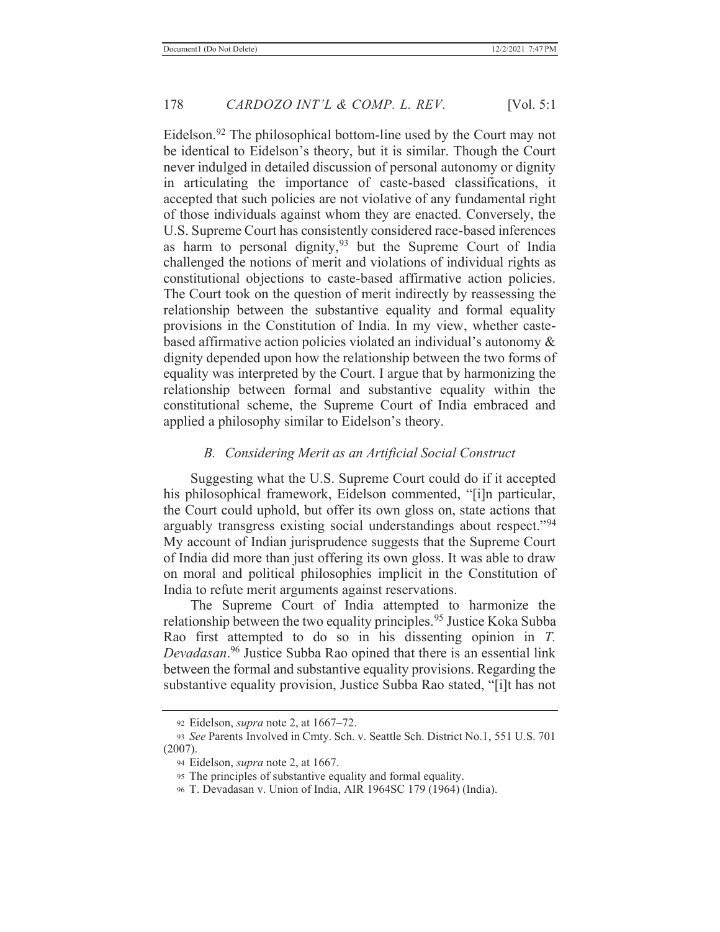Eidelson.92 The philosophical bottom-line used by the Court may not be identical to Eidelson's theory, but it is similar. Though the Court never indulged in detailed discussion of personal autonomy or dignity in articulating the importance of caste-based classifications, it accepted that such policies are not violative of any fundamental right of those individuals against whom they are enacted. Conversely, the U.S. Supreme Court has consistently considered race-based inferences as harm to personal dignity,  $93$  but the Supreme Court of India challenged the notions of merit and violations of individual rights as constitutional objections to caste-based affirmative action policies. The Court took on the question of merit indirectly by reassessing the relationship between the substantive equality and formal equality provisions in the Constitution of India. In my view, whether castebased affirmative action policies violated an individual's autonomy & dignity depended upon how the relationship between the two forms of equality was interpreted by the Court. I argue that by harmonizing the relationship between formal and substantive equality within the constitutional scheme, the Supreme Court of India embraced and applied a philosophy similar to Eidelson's theory.

### *B. Considering Merit as an Artificial Social Construct*

 Suggesting what the U.S. Supreme Court could do if it accepted his philosophical framework, Eidelson commented, "[i]n particular, the Court could uphold, but offer its own gloss on, state actions that arguably transgress existing social understandings about respect."<sup>94</sup> My account of Indian jurisprudence suggests that the Supreme Court of India did more than just offering its own gloss. It was able to draw on moral and political philosophies implicit in the Constitution of India to refute merit arguments against reservations.

 The Supreme Court of India attempted to harmonize the relationship between the two equality principles.<sup>95</sup> Justice Koka Subba Rao first attempted to do so in his dissenting opinion in *T. Devadasan*. 96 Justice Subba Rao opined that there is an essential link between the formal and substantive equality provisions. Regarding the substantive equality provision, Justice Subba Rao stated, "[i]t has not

<sup>92</sup> Eidelson, *supra* note 2, at 1667–72.

<sup>93</sup> *See* Parents Involved in Cmty. Sch. v. Seattle Sch. District No.1, 551 U.S. 701 (2007).

<sup>94</sup> Eidelson, *supra* note 2, at 1667.

<sup>95</sup> The principles of substantive equality and formal equality.

<sup>96</sup> T. Devadasan v. Union of India, AIR 1964SC 179 (1964) (India).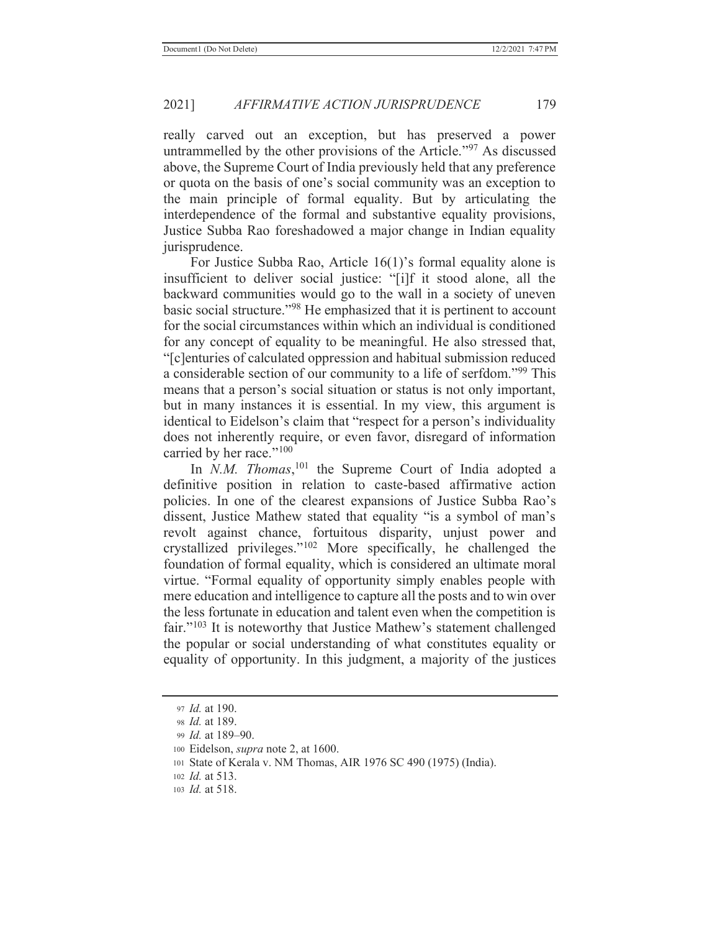really carved out an exception, but has preserved a power untrammelled by the other provisions of the Article."97 As discussed above, the Supreme Court of India previously held that any preference or quota on the basis of one's social community was an exception to the main principle of formal equality. But by articulating the interdependence of the formal and substantive equality provisions, Justice Subba Rao foreshadowed a major change in Indian equality jurisprudence.

 For Justice Subba Rao, Article 16(1)'s formal equality alone is insufficient to deliver social justice: "[i]f it stood alone, all the backward communities would go to the wall in a society of uneven basic social structure."98 He emphasized that it is pertinent to account for the social circumstances within which an individual is conditioned for any concept of equality to be meaningful. He also stressed that, "[c]enturies of calculated oppression and habitual submission reduced a considerable section of our community to a life of serfdom."99 This means that a person's social situation or status is not only important, but in many instances it is essential. In my view, this argument is identical to Eidelson's claim that "respect for a person's individuality does not inherently require, or even favor, disregard of information carried by her race."<sup>100</sup>

In *N.M. Thomas*,<sup>101</sup> the Supreme Court of India adopted a definitive position in relation to caste-based affirmative action policies. In one of the clearest expansions of Justice Subba Rao's dissent, Justice Mathew stated that equality "is a symbol of man's revolt against chance, fortuitous disparity, unjust power and crystallized privileges."102 More specifically, he challenged the foundation of formal equality, which is considered an ultimate moral virtue. "Formal equality of opportunity simply enables people with mere education and intelligence to capture all the posts and to win over the less fortunate in education and talent even when the competition is fair."<sup>103</sup> It is noteworthy that Justice Mathew's statement challenged the popular or social understanding of what constitutes equality or equality of opportunity. In this judgment, a majority of the justices

<sup>97</sup> *Id.* at 190.

<sup>98</sup> *Id.* at 189.

<sup>99</sup> *Id.* at 189–90.

<sup>100</sup> Eidelson, *supra* note 2, at 1600.

<sup>101</sup> State of Kerala v. NM Thomas, AIR 1976 SC 490 (1975) (India).

<sup>102</sup> *Id.* at 513.

<sup>103</sup> *Id.* at 518.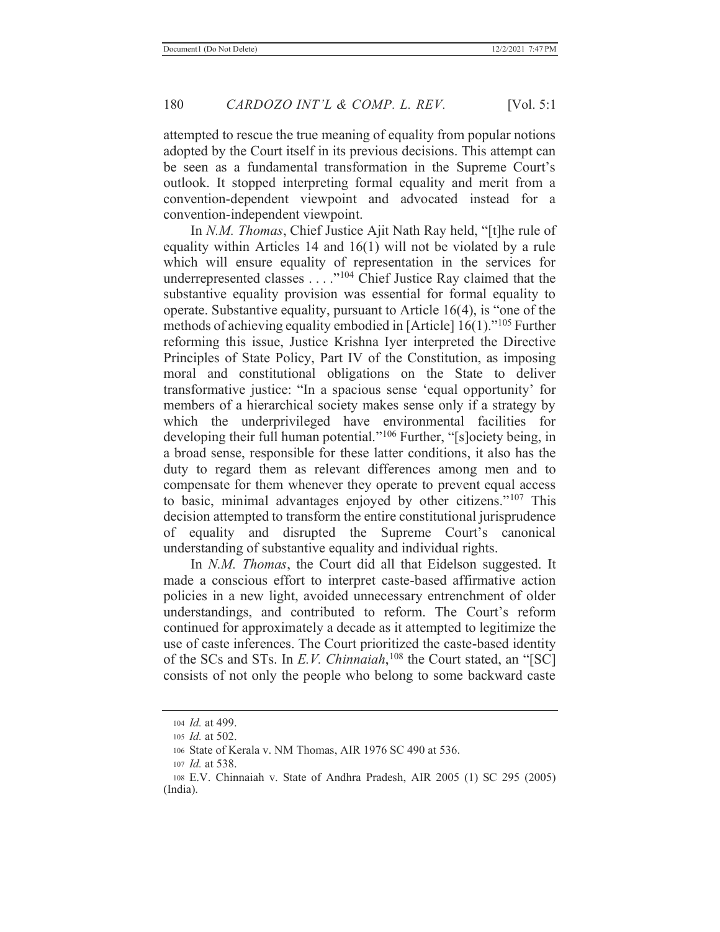attempted to rescue the true meaning of equality from popular notions adopted by the Court itself in its previous decisions. This attempt can be seen as a fundamental transformation in the Supreme Court's outlook. It stopped interpreting formal equality and merit from a convention-dependent viewpoint and advocated instead for a convention-independent viewpoint.

 In *N.M. Thomas*, Chief Justice Ajit Nath Ray held, "[t]he rule of equality within Articles 14 and 16(1) will not be violated by a rule which will ensure equality of representation in the services for underrepresented classes . . . . "<sup>104</sup> Chief Justice Ray claimed that the substantive equality provision was essential for formal equality to operate. Substantive equality, pursuant to Article 16(4), is "one of the methods of achieving equality embodied in [Article] 16(1)."105 Further reforming this issue, Justice Krishna Iyer interpreted the Directive Principles of State Policy, Part IV of the Constitution, as imposing moral and constitutional obligations on the State to deliver transformative justice: "In a spacious sense 'equal opportunity' for members of a hierarchical society makes sense only if a strategy by which the underprivileged have environmental facilities for developing their full human potential."<sup>106</sup> Further, "[s]ociety being, in a broad sense, responsible for these latter conditions, it also has the duty to regard them as relevant differences among men and to compensate for them whenever they operate to prevent equal access to basic, minimal advantages enjoyed by other citizens."107 This decision attempted to transform the entire constitutional jurisprudence of equality and disrupted the Supreme Court's canonical understanding of substantive equality and individual rights.

 In *N.M. Thomas*, the Court did all that Eidelson suggested. It made a conscious effort to interpret caste-based affirmative action policies in a new light, avoided unnecessary entrenchment of older understandings, and contributed to reform. The Court's reform continued for approximately a decade as it attempted to legitimize the use of caste inferences. The Court prioritized the caste-based identity of the SCs and STs. In *E.V. Chinnaiah*, <sup>108</sup> the Court stated, an "[SC] consists of not only the people who belong to some backward caste

<sup>104</sup> *Id.* at 499.

<sup>105</sup> *Id.* at 502.

<sup>106</sup> State of Kerala v. NM Thomas, AIR 1976 SC 490 at 536.

<sup>107</sup> *Id.* at 538.

<sup>108</sup> E.V. Chinnaiah v. State of Andhra Pradesh, AIR 2005 (1) SC 295 (2005) (India).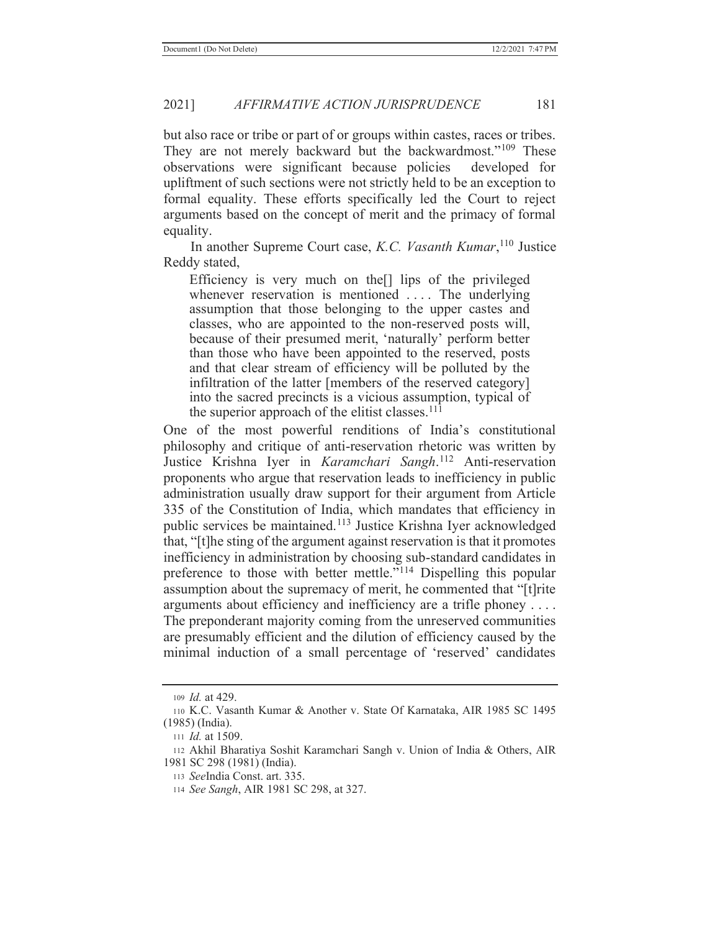but also race or tribe or part of or groups within castes, races or tribes. They are not merely backward but the backwardmost."<sup>109</sup> These observations were significant because policies developed for upliftment of such sections were not strictly held to be an exception to formal equality. These efforts specifically led the Court to reject arguments based on the concept of merit and the primacy of formal equality.

 In another Supreme Court case, *K.C. Vasanth Kumar*, 110 Justice Reddy stated,

Efficiency is very much on the[] lips of the privileged whenever reservation is mentioned .... The underlying assumption that those belonging to the upper castes and classes, who are appointed to the non-reserved posts will, because of their presumed merit, 'naturally' perform better than those who have been appointed to the reserved, posts and that clear stream of efficiency will be polluted by the infiltration of the latter [members of the reserved category] into the sacred precincts is a vicious assumption, typical of the superior approach of the elitist classes. $111$ 

One of the most powerful renditions of India's constitutional philosophy and critique of anti-reservation rhetoric was written by Justice Krishna Iyer in *Karamchari Sangh*. 112 Anti-reservation proponents who argue that reservation leads to inefficiency in public administration usually draw support for their argument from Article 335 of the Constitution of India, which mandates that efficiency in public services be maintained.<sup>113</sup> Justice Krishna Iyer acknowledged that, "[t]he sting of the argument against reservation is that it promotes inefficiency in administration by choosing sub-standard candidates in preference to those with better mettle."114 Dispelling this popular assumption about the supremacy of merit, he commented that "[t]rite arguments about efficiency and inefficiency are a trifle phoney . . . . The preponderant majority coming from the unreserved communities are presumably efficient and the dilution of efficiency caused by the minimal induction of a small percentage of 'reserved' candidates

<sup>109</sup> *Id.* at 429.

<sup>110</sup> K.C. Vasanth Kumar & Another v. State Of Karnataka, AIR 1985 SC 1495 (1985) (India).

<sup>111</sup> *Id.* at 1509.

<sup>112</sup> Akhil Bharatiya Soshit Karamchari Sangh v. Union of India & Others, AIR 1981 SC 298 (1981) (India).

<sup>113</sup> *See*India Const. art. 335.

<sup>114</sup> *See Sangh*, AIR 1981 SC 298, at 327.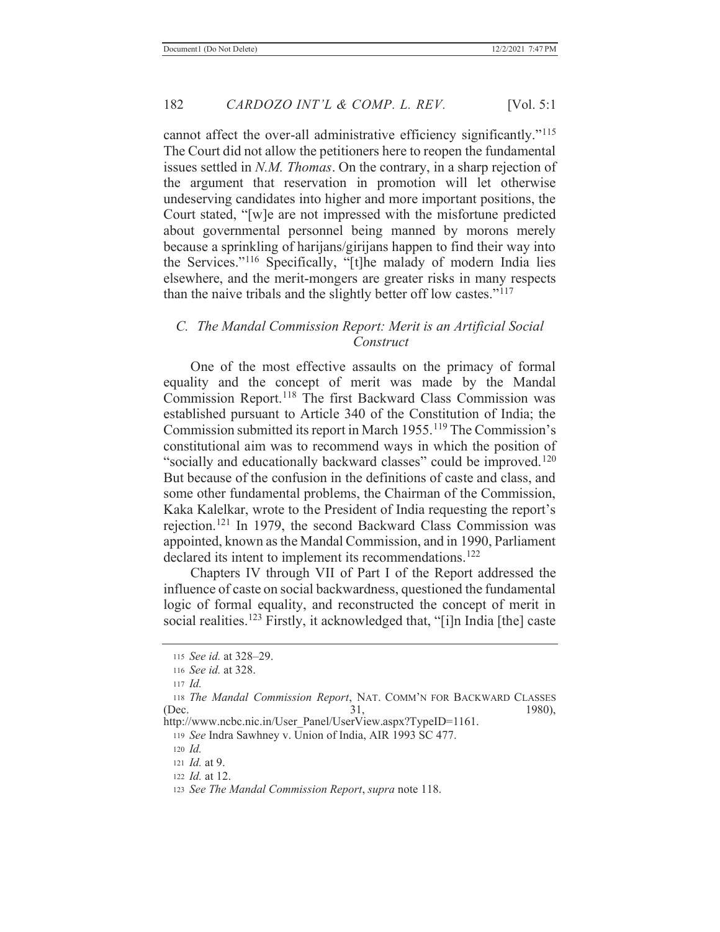cannot affect the over-all administrative efficiency significantly."<sup>115</sup> The Court did not allow the petitioners here to reopen the fundamental issues settled in *N.M. Thomas*. On the contrary, in a sharp rejection of the argument that reservation in promotion will let otherwise undeserving candidates into higher and more important positions, the Court stated, "[w]e are not impressed with the misfortune predicted about governmental personnel being manned by morons merely because a sprinkling of harijans/girijans happen to find their way into the Services."<sup>116</sup> Specifically, "[t]he malady of modern India lies elsewhere, and the merit-mongers are greater risks in many respects than the naive tribals and the slightly better off low castes."<sup>117</sup>

# *C. The Mandal Commission Report: Merit is an Artificial Social Construct*

 One of the most effective assaults on the primacy of formal equality and the concept of merit was made by the Mandal Commission Report.118 The first Backward Class Commission was established pursuant to Article 340 of the Constitution of India; the Commission submitted its report in March 1955.119 The Commission's constitutional aim was to recommend ways in which the position of "socially and educationally backward classes" could be improved.<sup>120</sup> But because of the confusion in the definitions of caste and class, and some other fundamental problems, the Chairman of the Commission, Kaka Kalelkar, wrote to the President of India requesting the report's rejection.121 In 1979, the second Backward Class Commission was appointed, known as the Mandal Commission, and in 1990, Parliament declared its intent to implement its recommendations.<sup>122</sup>

 Chapters IV through VII of Part I of the Report addressed the influence of caste on social backwardness, questioned the fundamental logic of formal equality, and reconstructed the concept of merit in social realities.<sup>123</sup> Firstly, it acknowledged that, "[i]n India [the] caste

<sup>120</sup> *Id.*

<sup>122</sup> *Id.* at 12.

<sup>115</sup> *See id.* at 328–29.

<sup>116</sup> *See id.* at 328.

<sup>117</sup> *Id.*

<sup>118</sup> *The Mandal Commission Report*, NAT. COMM'N FOR BACKWARD CLASSES (Dec. 31, 1980),

http://www.ncbc.nic.in/User\_Panel/UserView.aspx?TypeID=1161.

<sup>119</sup> *See* Indra Sawhney v. Union of India, AIR 1993 SC 477.

<sup>121</sup> *Id.* at 9.

<sup>123</sup> *See The Mandal Commission Report*, *supra* note 118.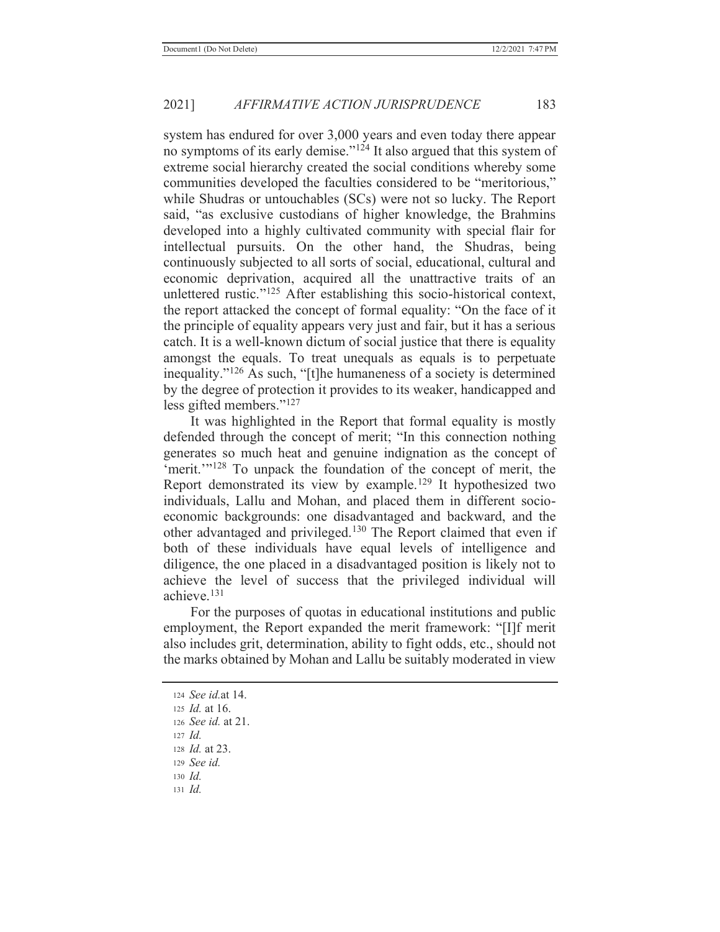system has endured for over 3,000 years and even today there appear no symptoms of its early demise."124 It also argued that this system of extreme social hierarchy created the social conditions whereby some communities developed the faculties considered to be "meritorious," while Shudras or untouchables (SCs) were not so lucky. The Report said, "as exclusive custodians of higher knowledge, the Brahmins developed into a highly cultivated community with special flair for intellectual pursuits. On the other hand, the Shudras, being continuously subjected to all sorts of social, educational, cultural and economic deprivation, acquired all the unattractive traits of an unlettered rustic."125 After establishing this socio-historical context, the report attacked the concept of formal equality: "On the face of it the principle of equality appears very just and fair, but it has a serious catch. It is a well-known dictum of social justice that there is equality amongst the equals. To treat unequals as equals is to perpetuate inequality."<sup>126</sup> As such, "[t]he humaneness of a society is determined by the degree of protection it provides to its weaker, handicapped and less gifted members."<sup>127</sup>

 It was highlighted in the Report that formal equality is mostly defended through the concept of merit; "In this connection nothing generates so much heat and genuine indignation as the concept of 'merit.'"128 To unpack the foundation of the concept of merit, the Report demonstrated its view by example.<sup>129</sup> It hypothesized two individuals, Lallu and Mohan, and placed them in different socioeconomic backgrounds: one disadvantaged and backward, and the other advantaged and privileged.<sup>130</sup> The Report claimed that even if both of these individuals have equal levels of intelligence and diligence, the one placed in a disadvantaged position is likely not to achieve the level of success that the privileged individual will achieve.131

 For the purposes of quotas in educational institutions and public employment, the Report expanded the merit framework: "[I]f merit also includes grit, determination, ability to fight odds, etc., should not the marks obtained by Mohan and Lallu be suitably moderated in view

- <sup>128</sup> *Id.* at 23.
- <sup>129</sup> *See id.*
- <sup>130</sup> *Id.*
- <sup>131</sup> *Id.*

<sup>124</sup> *See id.*at 14.

<sup>125</sup> *Id.* at 16.

<sup>126</sup> *See id.* at 21.

<sup>127</sup> *Id.*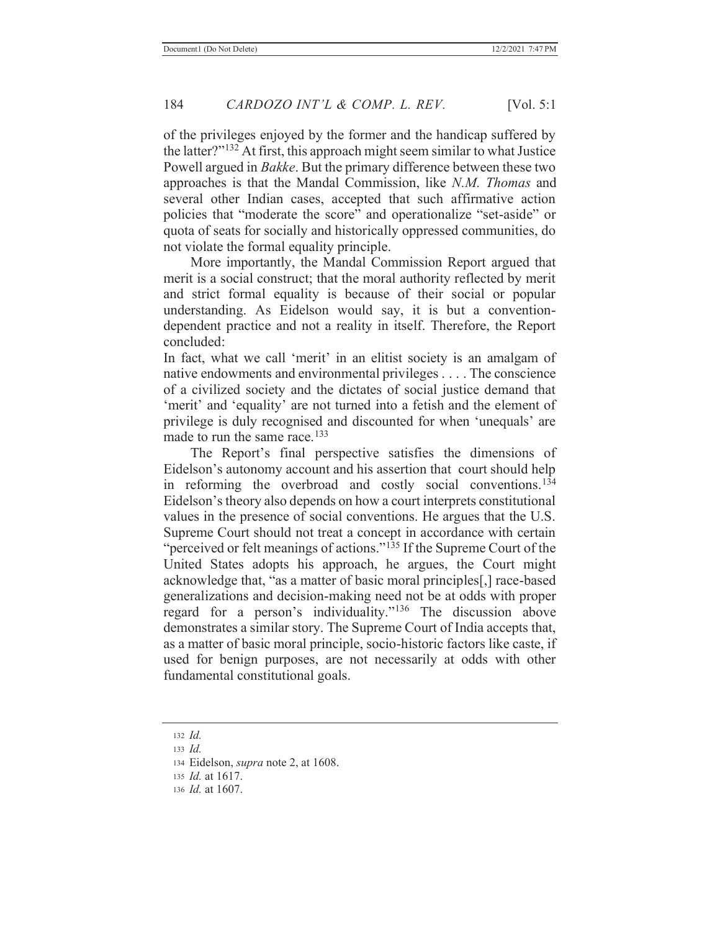of the privileges enjoyed by the former and the handicap suffered by the latter?"132 At first, this approach might seem similar to what Justice Powell argued in *Bakke*. But the primary difference between these two approaches is that the Mandal Commission, like *N.M. Thomas* and several other Indian cases, accepted that such affirmative action policies that "moderate the score" and operationalize "set-aside" or quota of seats for socially and historically oppressed communities, do not violate the formal equality principle.

 More importantly, the Mandal Commission Report argued that merit is a social construct; that the moral authority reflected by merit and strict formal equality is because of their social or popular understanding. As Eidelson would say, it is but a conventiondependent practice and not a reality in itself. Therefore, the Report concluded:

In fact, what we call 'merit' in an elitist society is an amalgam of native endowments and environmental privileges . . . . The conscience of a civilized society and the dictates of social justice demand that 'merit' and 'equality' are not turned into a fetish and the element of privilege is duly recognised and discounted for when 'unequals' are made to run the same race.<sup>133</sup>

 The Report's final perspective satisfies the dimensions of Eidelson's autonomy account and his assertion that court should help in reforming the overbroad and costly social conventions.<sup>134</sup> Eidelson's theory also depends on how a court interprets constitutional values in the presence of social conventions. He argues that the U.S. Supreme Court should not treat a concept in accordance with certain "perceived or felt meanings of actions."<sup>135</sup> If the Supreme Court of the United States adopts his approach, he argues, the Court might acknowledge that, "as a matter of basic moral principles[,] race-based generalizations and decision-making need not be at odds with proper regard for a person's individuality."136 The discussion above demonstrates a similar story. The Supreme Court of India accepts that, as a matter of basic moral principle, socio-historic factors like caste, if used for benign purposes, are not necessarily at odds with other fundamental constitutional goals.

- <sup>135</sup> *Id.* at 1617.
- 136 *Id.* at 1607.

<sup>132</sup> *Id.*

<sup>133</sup> *Id.*

<sup>134</sup> Eidelson, *supra* note 2, at 1608.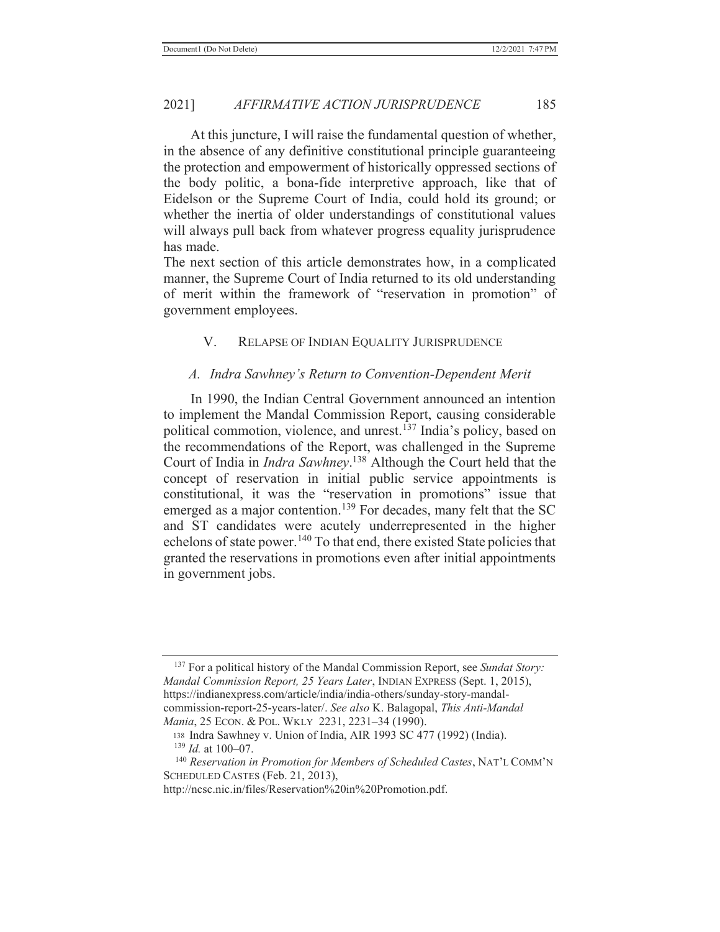At this juncture, I will raise the fundamental question of whether, in the absence of any definitive constitutional principle guaranteeing the protection and empowerment of historically oppressed sections of the body politic, a bona-fide interpretive approach, like that of Eidelson or the Supreme Court of India, could hold its ground; or whether the inertia of older understandings of constitutional values will always pull back from whatever progress equality jurisprudence has made.

The next section of this article demonstrates how, in a complicated manner, the Supreme Court of India returned to its old understanding of merit within the framework of "reservation in promotion" of government employees.

# V. RELAPSE OF INDIAN EQUALITY JURISPRUDENCE

#### *A. Indra Sawhney's Return to Convention-Dependent Merit*

 In 1990, the Indian Central Government announced an intention to implement the Mandal Commission Report, causing considerable political commotion, violence, and unrest.137 India's policy, based on the recommendations of the Report, was challenged in the Supreme Court of India in *Indra Sawhney*. 138 Although the Court held that the concept of reservation in initial public service appointments is constitutional, it was the "reservation in promotions" issue that emerged as a major contention.<sup>139</sup> For decades, many felt that the SC and ST candidates were acutely underrepresented in the higher echelons of state power.140 To that end, there existed State policies that granted the reservations in promotions even after initial appointments in government jobs.

<sup>137</sup> For a political history of the Mandal Commission Report, see *Sundat Story: Mandal Commission Report, 25 Years Later*, INDIAN EXPRESS (Sept. 1, 2015), https://indianexpress.com/article/india/india-others/sunday-story-mandalcommission-report-25-years-later/. *See also* K. Balagopal, *This Anti-Mandal Mania*, 25 ECON. & POL. WKLY 2231, 2231–34 (1990).

<sup>138</sup> Indra Sawhney v. Union of India, AIR 1993 SC 477 (1992) (India). <sup>139</sup> *Id.* at 100–07.

 <sup>140</sup> *Reservation in Promotion for Members of Scheduled Castes*, NAT'L COMM'N SCHEDULED CASTES (Feb. 21, 2013),

http://ncsc.nic.in/files/Reservation%20in%20Promotion.pdf.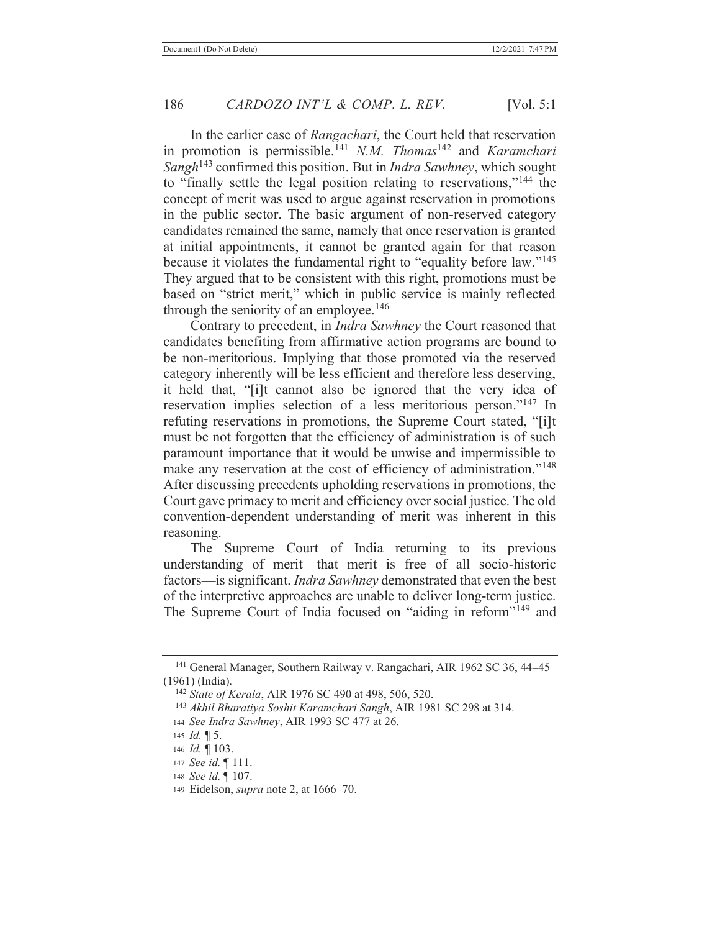In the earlier case of *Rangachari*, the Court held that reservation in promotion is permissible.141 *N.M. Thomas*142 and *Karamchari Sangh*143 confirmed this position. But in *Indra Sawhney*, which sought to "finally settle the legal position relating to reservations,"144 the concept of merit was used to argue against reservation in promotions in the public sector. The basic argument of non-reserved category candidates remained the same, namely that once reservation is granted at initial appointments, it cannot be granted again for that reason because it violates the fundamental right to "equality before law."<sup>145</sup> They argued that to be consistent with this right, promotions must be based on "strict merit," which in public service is mainly reflected through the seniority of an employee.<sup>146</sup>

 Contrary to precedent, in *Indra Sawhney* the Court reasoned that candidates benefiting from affirmative action programs are bound to be non-meritorious. Implying that those promoted via the reserved category inherently will be less efficient and therefore less deserving, it held that, "[i]t cannot also be ignored that the very idea of reservation implies selection of a less meritorious person."147 In refuting reservations in promotions, the Supreme Court stated, "[i]t must be not forgotten that the efficiency of administration is of such paramount importance that it would be unwise and impermissible to make any reservation at the cost of efficiency of administration."<sup>148</sup> After discussing precedents upholding reservations in promotions, the Court gave primacy to merit and efficiency over social justice. The old convention-dependent understanding of merit was inherent in this reasoning.

 The Supreme Court of India returning to its previous understanding of merit—that merit is free of all socio-historic factors—is significant. *Indra Sawhney* demonstrated that even the best of the interpretive approaches are unable to deliver long-term justice. The Supreme Court of India focused on "aiding in reform"<sup>149</sup> and

 <sup>141</sup> General Manager, Southern Railway v. Rangachari, AIR 1962 SC 36, 44–45 (1961) (India).

 <sup>142</sup> *State of Kerala*, AIR 1976 SC 490 at 498, 506, 520.

 <sup>143</sup> *Akhil Bharatiya Soshit Karamchari Sangh*, AIR 1981 SC 298 at 314.

<sup>144</sup> *See Indra Sawhney*, AIR 1993 SC 477 at 26.

<sup>145</sup> *Id.* ¶ 5.

<sup>146</sup> *Id.* ¶ 103.

<sup>147</sup> *See id.* ¶ 111.

<sup>148</sup> *See id.* ¶ 107.

<sup>149</sup> Eidelson, *supra* note 2, at 1666–70.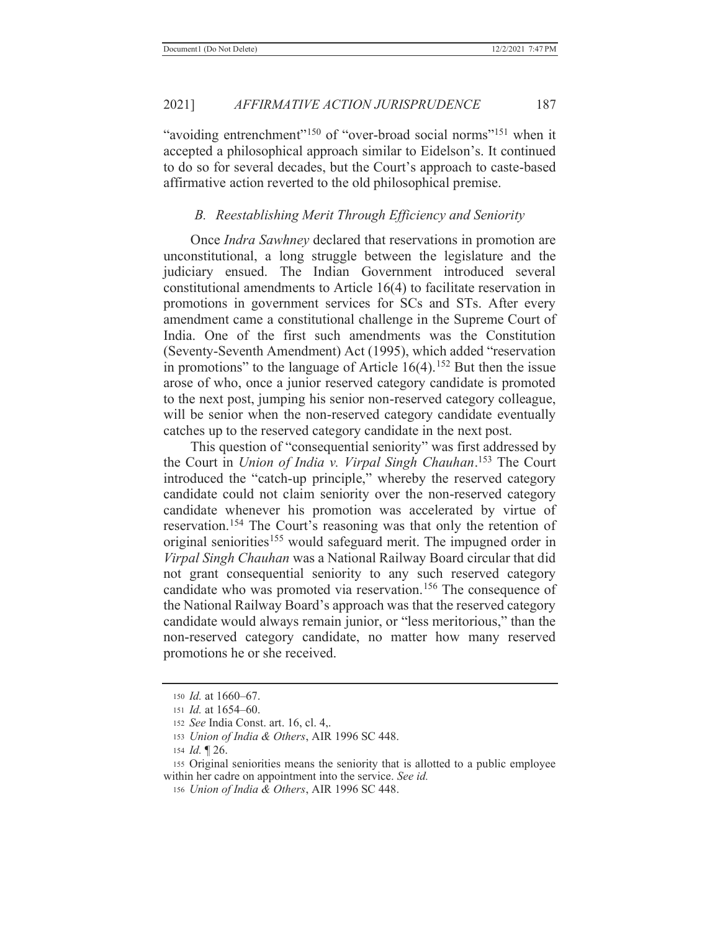"avoiding entrenchment"<sup>150</sup> of "over-broad social norms"<sup>151</sup> when it accepted a philosophical approach similar to Eidelson's. It continued to do so for several decades, but the Court's approach to caste-based affirmative action reverted to the old philosophical premise.

# *B. Reestablishing Merit Through Efficiency and Seniority*

 Once *Indra Sawhney* declared that reservations in promotion are unconstitutional, a long struggle between the legislature and the judiciary ensued. The Indian Government introduced several constitutional amendments to Article 16(4) to facilitate reservation in promotions in government services for SCs and STs. After every amendment came a constitutional challenge in the Supreme Court of India. One of the first such amendments was the Constitution (Seventy-Seventh Amendment) Act (1995), which added "reservation in promotions" to the language of Article  $16(4)$ .<sup>152</sup> But then the issue arose of who, once a junior reserved category candidate is promoted to the next post, jumping his senior non-reserved category colleague, will be senior when the non-reserved category candidate eventually catches up to the reserved category candidate in the next post.

This question of "consequential seniority" was first addressed by the Court in *Union of India v. Virpal Singh Chauhan*. <sup>153</sup> The Court introduced the "catch-up principle," whereby the reserved category candidate could not claim seniority over the non-reserved category candidate whenever his promotion was accelerated by virtue of reservation.<sup>154</sup> The Court's reasoning was that only the retention of original seniorities<sup>155</sup> would safeguard merit. The impugned order in *Virpal Singh Chauhan* was a National Railway Board circular that did not grant consequential seniority to any such reserved category candidate who was promoted via reservation.<sup>156</sup> The consequence of the National Railway Board's approach was that the reserved category candidate would always remain junior, or "less meritorious," than the non-reserved category candidate, no matter how many reserved promotions he or she received.

<sup>150</sup> *Id.* at 1660–67.

<sup>151</sup> *Id.* at 1654–60.

<sup>152</sup> *See* India Const. art. 16, cl. 4,.

<sup>153</sup> *Union of India & Others*, AIR 1996 SC 448.

<sup>154</sup> *Id.* ¶ 26.

<sup>155</sup> Original seniorities means the seniority that is allotted to a public employee within her cadre on appointment into the service. *See id.*

<sup>156</sup> *Union of India & Others*, AIR 1996 SC 448.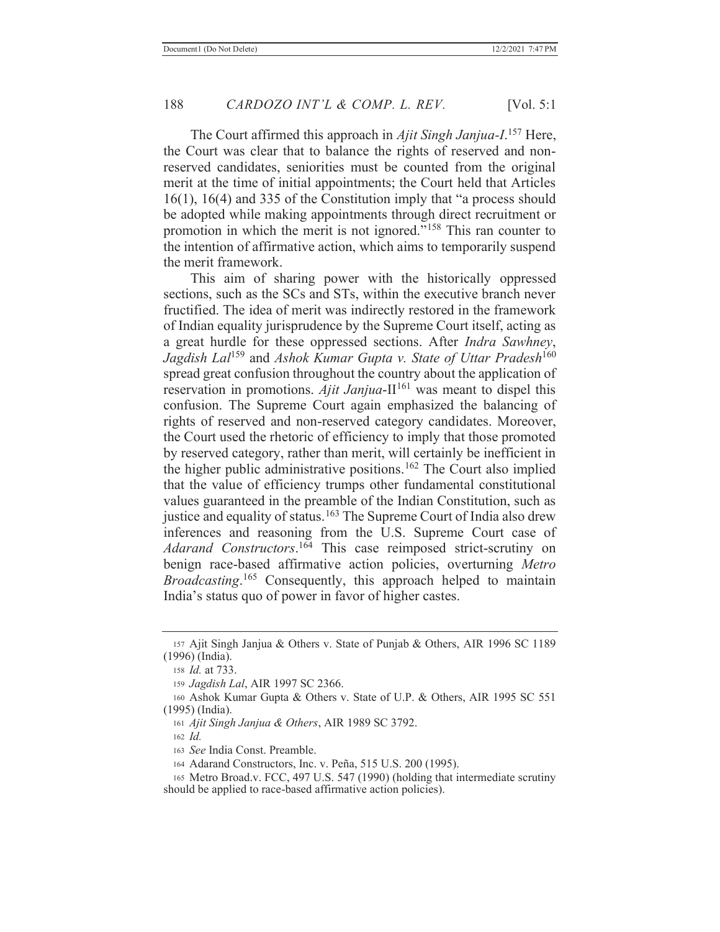The Court affirmed this approach in *Ajit Singh Janjua-I*. 157 Here, the Court was clear that to balance the rights of reserved and nonreserved candidates, seniorities must be counted from the original merit at the time of initial appointments; the Court held that Articles 16(1), 16(4) and 335 of the Constitution imply that "a process should be adopted while making appointments through direct recruitment or promotion in which the merit is not ignored."158 This ran counter to the intention of affirmative action, which aims to temporarily suspend the merit framework.

 This aim of sharing power with the historically oppressed sections, such as the SCs and STs, within the executive branch never fructified. The idea of merit was indirectly restored in the framework of Indian equality jurisprudence by the Supreme Court itself, acting as a great hurdle for these oppressed sections. After *Indra Sawhney*, *Jagdish Lal*<sup>159</sup> and *Ashok Kumar Gupta v. State of Uttar Pradesh*<sup>160</sup> spread great confusion throughout the country about the application of reservation in promotions.  $\widetilde{A}$ *jit Janjua*-II<sup>161</sup> was meant to dispel this confusion. The Supreme Court again emphasized the balancing of rights of reserved and non-reserved category candidates. Moreover, the Court used the rhetoric of efficiency to imply that those promoted by reserved category, rather than merit, will certainly be inefficient in the higher public administrative positions.162 The Court also implied that the value of efficiency trumps other fundamental constitutional values guaranteed in the preamble of the Indian Constitution, such as justice and equality of status.<sup>163</sup> The Supreme Court of India also drew inferences and reasoning from the U.S. Supreme Court case of *Adarand Constructors*. <sup>164</sup> This case reimposed strict-scrutiny on benign race-based affirmative action policies, overturning *Metro Broadcasting*. 165 Consequently, this approach helped to maintain India's status quo of power in favor of higher castes.

<sup>157</sup> Ajit Singh Janjua & Others v. State of Punjab & Others, AIR 1996 SC 1189 (1996) (India).

<sup>158</sup> *Id.* at 733.

<sup>159</sup> *Jagdish Lal*, AIR 1997 SC 2366.

<sup>160</sup> Ashok Kumar Gupta & Others v. State of U.P. & Others, AIR 1995 SC 551 (1995) (India).

<sup>161</sup> *Ajit Singh Janjua & Others*, AIR 1989 SC 3792.

<sup>162</sup> *Id.*

<sup>163</sup> *See* India Const. Preamble.

<sup>164</sup> Adarand Constructors, Inc. v. Peña, 515 U.S. 200 (1995).

<sup>165</sup> Metro Broad.v. FCC, 497 U.S. 547 (1990) (holding that intermediate scrutiny should be applied to race-based affirmative action policies).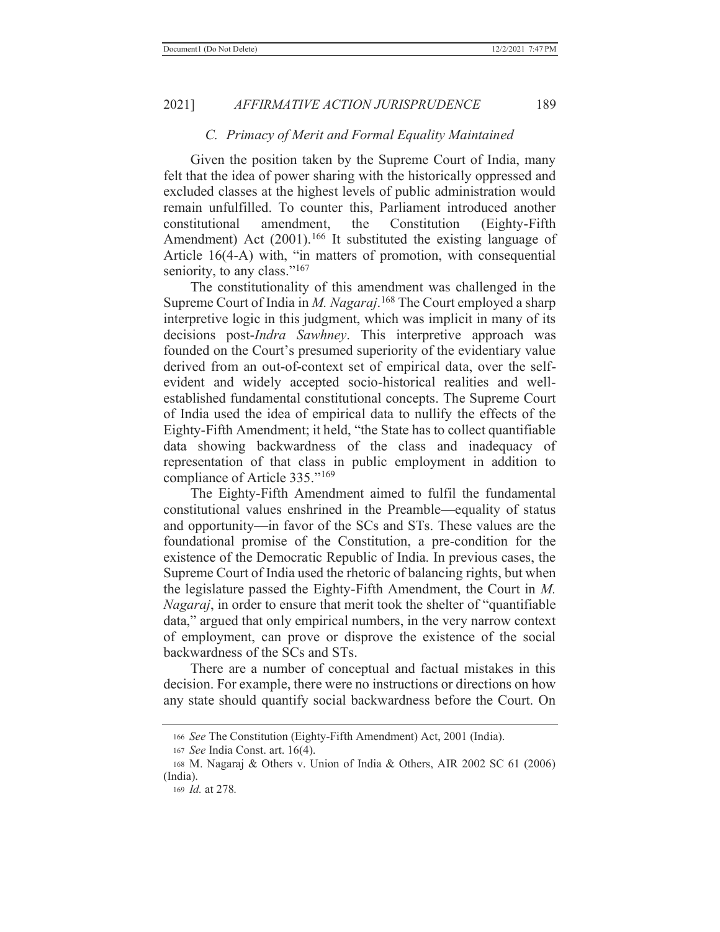#### *C. Primacy of Merit and Formal Equality Maintained*

 Given the position taken by the Supreme Court of India, many felt that the idea of power sharing with the historically oppressed and excluded classes at the highest levels of public administration would remain unfulfilled. To counter this, Parliament introduced another constitutional amendment, the Constitution (Eighty-Fifth Amendment) Act  $(2001)$ .<sup>166</sup> It substituted the existing language of Article 16(4-A) with, "in matters of promotion, with consequential seniority, to any class."<sup>167</sup>

 The constitutionality of this amendment was challenged in the Supreme Court of India in *M. Nagaraj*. 168 The Court employed a sharp interpretive logic in this judgment, which was implicit in many of its decisions post-*Indra Sawhney*. This interpretive approach was founded on the Court's presumed superiority of the evidentiary value derived from an out-of-context set of empirical data, over the selfevident and widely accepted socio-historical realities and wellestablished fundamental constitutional concepts. The Supreme Court of India used the idea of empirical data to nullify the effects of the Eighty-Fifth Amendment; it held, "the State has to collect quantifiable data showing backwardness of the class and inadequacy of representation of that class in public employment in addition to compliance of Article 335."<sup>169</sup>

 The Eighty-Fifth Amendment aimed to fulfil the fundamental constitutional values enshrined in the Preamble—equality of status and opportunity—in favor of the SCs and STs. These values are the foundational promise of the Constitution, a pre-condition for the existence of the Democratic Republic of India. In previous cases, the Supreme Court of India used the rhetoric of balancing rights, but when the legislature passed the Eighty-Fifth Amendment, the Court in *M. Nagaraj*, in order to ensure that merit took the shelter of "quantifiable data," argued that only empirical numbers, in the very narrow context of employment, can prove or disprove the existence of the social backwardness of the SCs and STs.

 There are a number of conceptual and factual mistakes in this decision. For example, there were no instructions or directions on how any state should quantify social backwardness before the Court. On

<sup>166</sup> *See* The Constitution (Eighty-Fifth Amendment) Act, 2001 (India).

<sup>167</sup> *See* India Const. art. 16(4).

<sup>168</sup> M. Nagaraj & Others v. Union of India & Others, AIR 2002 SC 61 (2006) (India).

<sup>169</sup> *Id.* at 278*.*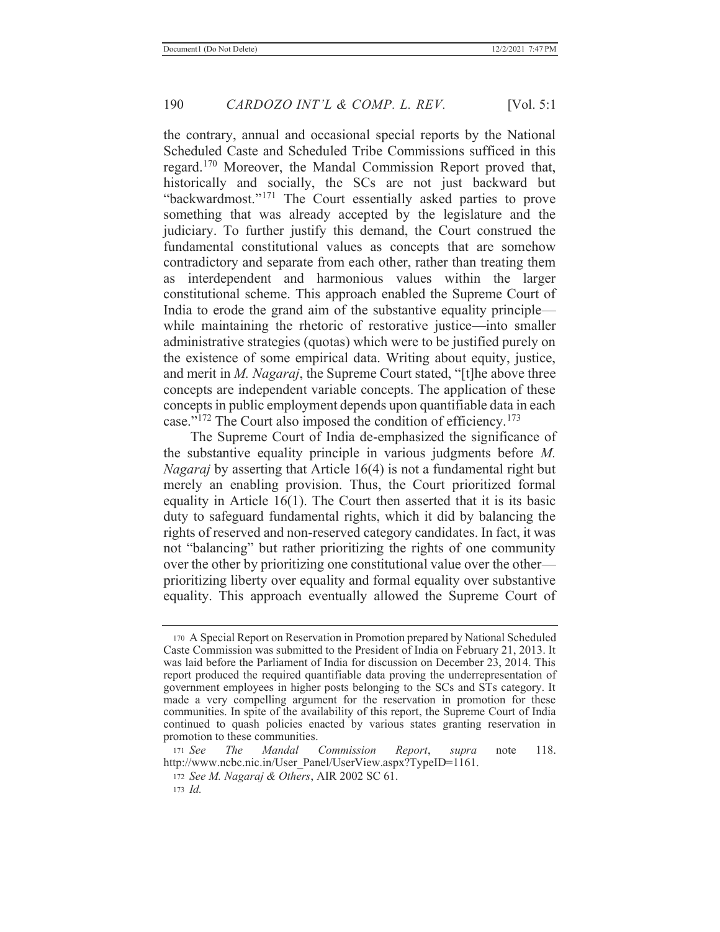the contrary, annual and occasional special reports by the National Scheduled Caste and Scheduled Tribe Commissions sufficed in this regard.170 Moreover, the Mandal Commission Report proved that, historically and socially, the SCs are not just backward but "backwardmost."<sup>171</sup> The Court essentially asked parties to prove something that was already accepted by the legislature and the judiciary. To further justify this demand, the Court construed the fundamental constitutional values as concepts that are somehow contradictory and separate from each other, rather than treating them as interdependent and harmonious values within the larger constitutional scheme. This approach enabled the Supreme Court of India to erode the grand aim of the substantive equality principle while maintaining the rhetoric of restorative justice—into smaller administrative strategies (quotas) which were to be justified purely on the existence of some empirical data. Writing about equity, justice, and merit in *M. Nagaraj*, the Supreme Court stated, "[t]he above three concepts are independent variable concepts. The application of these concepts in public employment depends upon quantifiable data in each case."172 The Court also imposed the condition of efficiency.173

 The Supreme Court of India de-emphasized the significance of the substantive equality principle in various judgments before *M. Nagaraj* by asserting that Article 16(4) is not a fundamental right but merely an enabling provision. Thus, the Court prioritized formal equality in Article 16(1). The Court then asserted that it is its basic duty to safeguard fundamental rights, which it did by balancing the rights of reserved and non-reserved category candidates. In fact, it was not "balancing" but rather prioritizing the rights of one community over the other by prioritizing one constitutional value over the other prioritizing liberty over equality and formal equality over substantive equality. This approach eventually allowed the Supreme Court of

<sup>170</sup> A Special Report on Reservation in Promotion prepared by National Scheduled Caste Commission was submitted to the President of India on February 21, 2013. It was laid before the Parliament of India for discussion on December 23, 2014. This report produced the required quantifiable data proving the underrepresentation of government employees in higher posts belonging to the SCs and STs category. It made a very compelling argument for the reservation in promotion for these communities. In spite of the availability of this report, the Supreme Court of India continued to quash policies enacted by various states granting reservation in promotion to these communities.

<sup>171</sup> *See The Mandal Commission Report*, *supra* note 118. http://www.ncbc.nic.in/User\_Panel/UserView.aspx?TypeID=1161.

<sup>172</sup> *See M. Nagaraj & Others*, AIR 2002 SC 61.

<sup>173</sup> *Id.*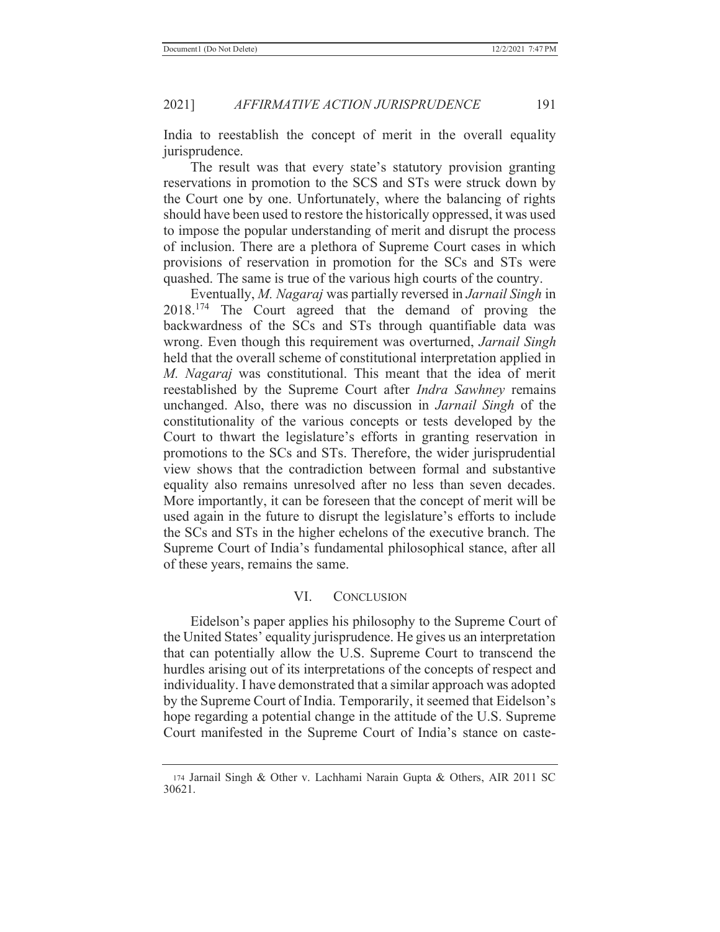India to reestablish the concept of merit in the overall equality jurisprudence.

The result was that every state's statutory provision granting reservations in promotion to the SCS and STs were struck down by the Court one by one. Unfortunately, where the balancing of rights should have been used to restore the historically oppressed, it was used to impose the popular understanding of merit and disrupt the process of inclusion. There are a plethora of Supreme Court cases in which provisions of reservation in promotion for the SCs and STs were quashed. The same is true of the various high courts of the country.

 Eventually, *M. Nagaraj* was partially reversed in *Jarnail Singh* in 2018.174 The Court agreed that the demand of proving the backwardness of the SCs and STs through quantifiable data was wrong. Even though this requirement was overturned, *Jarnail Singh* held that the overall scheme of constitutional interpretation applied in *M. Nagaraj* was constitutional. This meant that the idea of merit reestablished by the Supreme Court after *Indra Sawhney* remains unchanged. Also, there was no discussion in *Jarnail Singh* of the constitutionality of the various concepts or tests developed by the Court to thwart the legislature's efforts in granting reservation in promotions to the SCs and STs. Therefore, the wider jurisprudential view shows that the contradiction between formal and substantive equality also remains unresolved after no less than seven decades. More importantly, it can be foreseen that the concept of merit will be used again in the future to disrupt the legislature's efforts to include the SCs and STs in the higher echelons of the executive branch. The Supreme Court of India's fundamental philosophical stance, after all of these years, remains the same.

#### VI. CONCLUSION

Eidelson's paper applies his philosophy to the Supreme Court of the United States' equality jurisprudence. He gives us an interpretation that can potentially allow the U.S. Supreme Court to transcend the hurdles arising out of its interpretations of the concepts of respect and individuality. I have demonstrated that a similar approach was adopted by the Supreme Court of India. Temporarily, it seemed that Eidelson's hope regarding a potential change in the attitude of the U.S. Supreme Court manifested in the Supreme Court of India's stance on caste-

<sup>174</sup> Jarnail Singh & Other v. Lachhami Narain Gupta & Others, AIR 2011 SC 30621.